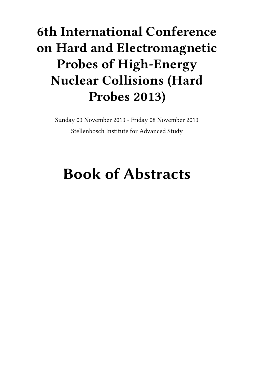## **6th International Conference on Hard and Electromagnetic Probes of High-Energy Nuclear Collisions (Hard Probes 2013)**

Sunday 03 November 2013 - Friday 08 November 2013 Stellenbosch Institute for Advanced Study

# **Book of Abstracts**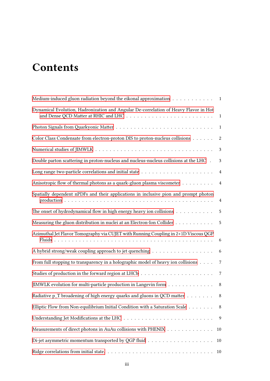## **Contents**

| Medium-induced gluon radiation beyond the eikonal approximation $\dots \dots \dots \dots$                                                                                                     |                |
|-----------------------------------------------------------------------------------------------------------------------------------------------------------------------------------------------|----------------|
| Dynamical Evolution, Hadronization and Angular De-correlation of Heavy Flavor in Hot<br>and Dense QCD Matter at RHIC and LHC $\ldots \ldots \ldots \ldots \ldots \ldots \ldots \ldots \ldots$ | $\mathbf{1}$   |
|                                                                                                                                                                                               | $\mathbf{1}$   |
| Color Class Condensate from electron-proton DIS to proton-nucleus collisions                                                                                                                  | $\sqrt{2}$     |
|                                                                                                                                                                                               | 3              |
| Double parton scattering in proton-nucleus and nucleus-nucleus collisions at the LHC .                                                                                                        | $\mathfrak{Z}$ |
|                                                                                                                                                                                               | $\overline{4}$ |
| Anisotropic flow of thermal photons as a quark-gluon plasma viscometer                                                                                                                        | $\overline{4}$ |
| Spatially dependent nPDFs and their applications in inclusive pion and prompt photon                                                                                                          | $\overline{4}$ |
| The onset of hydrodynamical flow in high energy heavy ion collisions                                                                                                                          | 5              |
| Measuring the gluon distribution in nuclei at an Electron-Ion Collider                                                                                                                        | 5              |
| Azimuthal Jet Flavor Tomography via CUJET with Running Coupling in 2+1D Viscous QGP                                                                                                           | 6              |
| A hybrid strong/weak coupling approach to jet quenching                                                                                                                                       | 6              |
| From full stopping to transparency in a holographic model of heavy ion collisions                                                                                                             | $\,7$          |
|                                                                                                                                                                                               | $\overline{7}$ |
| JIMWLK evolution for multi-particle production in Langevin form                                                                                                                               | $\,8\,$        |
| Radiative p_T broadening of high energy quarks and gluons in QCD matter                                                                                                                       | 8              |
| Elliptic Flow from Non-equilibrium Initial Condition with a Saturation Scale                                                                                                                  | 8              |
|                                                                                                                                                                                               | 9              |
| Measurements of direct photons in AuAu collisions with PHENIX                                                                                                                                 | 10             |
|                                                                                                                                                                                               | 10             |
|                                                                                                                                                                                               | 10             |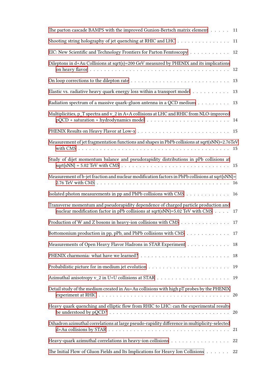| The parton cascade BAMPS with the improved Gunion-Bertsch matrix element 11                                                                                                                                      |    |
|------------------------------------------------------------------------------------------------------------------------------------------------------------------------------------------------------------------|----|
| Shooting string holography of jet quenching at RHIC and LHC                                                                                                                                                      | 11 |
| EIC: New Scientific and Technology Frontiers for Parton Femtoscopy                                                                                                                                               | 12 |
| Dileptons in d+Au Collisions at sqrt(s)=200 GeV measured by PHENIX and its implications                                                                                                                          | 12 |
|                                                                                                                                                                                                                  |    |
| Elastic vs. radiative heavy quark energy loss within a transport model $\dots \dots \dots$                                                                                                                       | 13 |
| Radiation spectrum of a massive quark-gluon antenna in a QCD medium                                                                                                                                              | 13 |
| Multiplicities, p_T spectra and v_2 in A+A collisions at LHC and RHIC from NLO-improved<br>$pQCD + saturation + hydrodynamics model \dots \dots \dots \dots \dots \dots \dots \dots \dots \dots \dots$           |    |
|                                                                                                                                                                                                                  |    |
| Measurement of jet fragmentation functions and shapes in PbPb collisions at sqrt(sNN)=2.76TeV                                                                                                                    |    |
| Study of dijet momentum balance and pseudorapidity distributions in pPb collisions at                                                                                                                            |    |
| Measurement of b-jet fraction and nuclear modification factors in PbPb collisions at sqrt{sNN}=                                                                                                                  |    |
| Isolated photon measurements in pp and PbPb collisions with CMS 16                                                                                                                                               |    |
| Transverse momentum and pseudorapidity dependence of charged particle production and<br>nuclear modification factor in pPb collisions at sqrt(sNN)=5.02 TeV with CMS $\ldots$ .                                  | 17 |
| Production of W and Z bosons in heavy-ion collisions with CMS $\dots \dots \dots \dots \dots$<br>17                                                                                                              |    |
| Bottomonium production in pp, pPb, and PbPb collisions with CMS 17                                                                                                                                               |    |
| Measurements of Open Heavy Flavor Hadrons in STAR Experiment                                                                                                                                                     | 18 |
|                                                                                                                                                                                                                  | 18 |
|                                                                                                                                                                                                                  | 19 |
|                                                                                                                                                                                                                  | 19 |
| Detail study of the medium created in Au+Au collisions with high pT probes by the PHENIX<br>experiment at RHIC $\dots \dots \dots \dots \dots \dots \dots \dots \dots \dots \dots \dots \dots \dots \dots$<br>20 |    |
| Heavy quark quenching and elliptic flow from RHIC to LHC: can the experimental results                                                                                                                           |    |
| Dihadron azimuthal correlations at large pseudo-rapidity difference in multiplicity-selected                                                                                                                     | 21 |
| Heavy-quark azimuthal correlations in heavy-ion collisions<br>22                                                                                                                                                 |    |
| The Initial Flow of Gluon Fields and Its Implications for Heavy Ion Collisions                                                                                                                                   | 22 |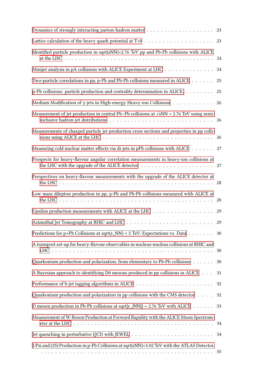|                                                                                                   | 23 |
|---------------------------------------------------------------------------------------------------|----|
| Identified particle production in sqrt(sNN)=2.76 TeV pp and Pb-Pb collisions with ALICE           | 24 |
| Minijet analysis in pA collisions with ALICE Experiment at LHC                                    | 24 |
| Two-particle correlations in pp, p-Pb and Pb-Pb collisions measured in ALICE                      | 25 |
| p-Pb collisions: particle production and centrality determination in ALICE.                       | 25 |
| Medium Modification of $\gamma$ -jets in High-energy Heavy-ion Collisions $\dots \dots \dots$     | 26 |
| Measurement of jet production in central Pb-Pb collisions at $\sqrt{sNN}$ = 2.76 TeV using semi-  |    |
| Measurements of charged particle jet production cross sections and properties in pp colli-        |    |
| Measuring cold nuclear matter effects via di-jets in pPb collisions with ALICE 27                 |    |
| Prospects for heavy-flavour angular correlation measurements in heavy-ion collisions at           |    |
| Perspectives on heavy-flavour measurements with the upgrade of the ALICE detector at              |    |
| Low mass dilepton production in pp, p-Pb and Pb-Pb collisions measured with ALICE at              | 28 |
| Upsilon production measurements with ALICE at the LHC $\ldots \ldots \ldots \ldots \ldots \ldots$ | 29 |
|                                                                                                   | 29 |
| Predictions for p+Pb Collisions at sqrt(s_NN) = 5 TeV: Expectations vs. Data 30                   |    |
| A transport set-up for heavy-flavour observables in nucleus-nucleus collisions at RHIC and        |    |
| Quarkonium production and polarization, from elementary to Pb-Pb collisions                       | 30 |
| A Bayesian approach to identifying D0 mesons produced in pp collisions in ALICE                   | 31 |
|                                                                                                   |    |
| Quarkonium production and polarization in pp collisions with the CMS detector $\dots$ .           | 32 |
| D meson production in Pb-Pb collisions at sqrt{s_{NN}} = 2.76 TeV with ALICE 33                   |    |
| Measurement of W-Boson Production at Forward Rapidity with the ALICE Muon Spectrom-               |    |
|                                                                                                   |    |
| J/Psi and (2S) Production in p-Pb Collisions at sqrt(sNN)=5.02 TeV with the ATLAS Detector.       |    |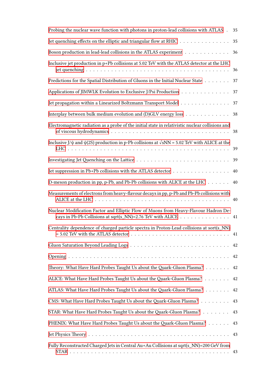| Probing the nuclear wave function with photons in proton-lead collisions with ATLAS.                                                                  | 35 |
|-------------------------------------------------------------------------------------------------------------------------------------------------------|----|
| Jet quenching effects on the elliptic and triangular flow at RHIC                                                                                     | 35 |
| Boson production in lead-lead collisions in the ATLAS experiment                                                                                      | 36 |
| Inclusive jet production in p+Pb collisions at 5.02 TeV with the ATLAS detector at the LHC                                                            | 36 |
| Predictions for the Spatial Distribution of Gluons in the Initial Nuclear State $\dots$                                                               | 37 |
| Applications of JIMWLK Evolution to Exclusive J/Psi Production                                                                                        | 37 |
| Jet propagation within a Linearized Boltzmann Transport Model                                                                                         | 37 |
| Interplay between bulk medium evolution and (D)GLV energy loss                                                                                        | 38 |
| Electromagnetic radiation as a probe of the initial state in relativistic nuclear collisions and                                                      |    |
| Inclusive J/ $\psi$ and $\psi$ (2S) production in p-Pb collisions at $\sqrt{sNN}$ = 5.02 TeV with ALICE at the                                        | 39 |
|                                                                                                                                                       | 39 |
| Jet suppression in Pb+Pb collisions with the ATLAS detector                                                                                           | 40 |
| D-meson production in pp, p-Pb, and Pb-Pb collisions with ALICE at the LHC                                                                            | 40 |
| Measurements of electrons from heavy-flavour decays in pp, p-Pb and Pb-Pb collisions with                                                             |    |
| Nuclear Modification Factor and Elliptic Flow of Muons from Heavy-Flavour Hadron De-<br>cays in Pb-Pb Collisions at sqrt(s_NN)=2.76 TeV with ALICE 41 |    |
| Centrality dependence of charged particle spectra in Proton-Lead collisions at sort(s_NN)                                                             |    |
|                                                                                                                                                       | 42 |
|                                                                                                                                                       | 42 |
| Theory: What Have Hard Probes Taught Us about the Quark-Gluon Plasma?                                                                                 | 42 |
| ALICE: What Have Hard Probes Taught Us about the Quark-Gluon Plasma?                                                                                  | 42 |
| ATLAS: What Have Hard Probes Taught Us about the Quark-Gluon Plasma?                                                                                  | 42 |
| CMS: What Have Hard Probes Taught Us about the Quark-Gluon Plasma?                                                                                    | 43 |
| STAR: What Have Hard Probes Taught Us about the Quark-Gluon Plasma?                                                                                   | 43 |
| PHENIX: What Have Hard Probes Taught Us about the Quark-Gluon Plasma?                                                                                 | 43 |
|                                                                                                                                                       | 43 |
| Fully Reconstructed Charged Jets in Central Au+Au Collisions at sqrt(s_NN)=200 GeV from                                                               |    |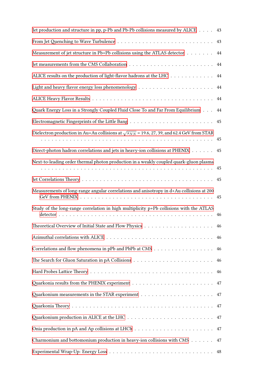| Jet production and structure in pp, p-Pb and Pb-Pb collisions measured by ALICE                     | 43       |
|-----------------------------------------------------------------------------------------------------|----------|
|                                                                                                     | 43       |
| Measurement of jet structure in Pb+Pb collisions using the ATLAS detector                           | 44       |
|                                                                                                     | 44       |
| ALICE results on the production of light-flavor hadrons at the LHC                                  | $\rm 44$ |
|                                                                                                     | $\rm 44$ |
|                                                                                                     | 44       |
| Quark Energy Loss in a Strongly Coupled Fluid Close To and Far From Equilibrium                     | 44       |
|                                                                                                     | 45       |
| Dielectron production in Au+Au collisions at $\sqrt{s_{NN}}$ = 19.6, 27, 39, and 62.4 GeV from STAR | 45       |
| Direct-photon hadron correlations and jets in heavy-ion collisions at PHENIX                        | 45       |
| Next-to-leading order thermal photon production in a weakly coupled quark-gluon plasma              | 45       |
|                                                                                                     | 45       |
| Measurements of long-range angular correlations and anisotropy in d+Au collisions at 200            | 45       |
| Study of the long-range correlation in high multiplicity $p+Pb$ collisions with the ATLAS           | 46       |
|                                                                                                     | 46       |
|                                                                                                     | 46       |
|                                                                                                     | 46       |
|                                                                                                     | 46       |
|                                                                                                     | 46       |
|                                                                                                     | 47       |
|                                                                                                     |          |
|                                                                                                     |          |
|                                                                                                     |          |
|                                                                                                     | 47       |
| Charmonium and bottomonium production in heavy-ion collisions with CMS                              | 47       |
|                                                                                                     |          |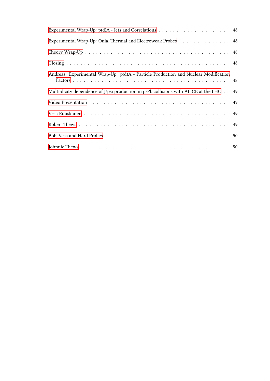| Experimental Wrap-Up: Onia, Thermal and Electroweak Probes 48                                    |  |
|--------------------------------------------------------------------------------------------------|--|
|                                                                                                  |  |
|                                                                                                  |  |
| Andreas: Experimental Wrap-Up: p(d)A - Particle Production and Nuclear Modification              |  |
| Multiplicity dependence of J/psi production in p-Pb collisions with ALICE at the LHC $\ldots$ 49 |  |
|                                                                                                  |  |
|                                                                                                  |  |
|                                                                                                  |  |
|                                                                                                  |  |
|                                                                                                  |  |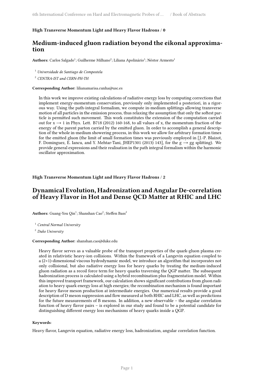#### **High Transverse Momentum Light and Heavy Flavor Hadrons** / **0**

### **Medium-induced gluon radiation beyond the eikonal approximation**

Authors: Carlos Salgado<sup>1</sup>; Guilherme Milhano<sup>2</sup>; Liliana Apolinário<sup>1</sup>; Néstor Armesto<sup>1</sup>

<sup>1</sup> *Universidade de Santiago de Compostela*

<sup>2</sup> *CENTRA-IST and CERN-PH-TH*

#### **Corresponding Author:** lilianamarisa.cunha@usc.es

In this work we improve existing calculations of radiative energy loss by computing corrections that implement energy-momentum conservation, previously only implemented a posteriori, in a rigorous way. Using the path-integral formalism, we compute in-medium splittings allowing transverse motion of all particles in the emission process, thus relaxing the assumption that only the softest particle is permitted such movement. This work constitutes the extension of the computation carried out for  $x \rightarrow 1$  in Phys. Lett. B718 (2012) 160-168, to all values of x, the momentum fraction of the energy of the parent parton carried by the emitted gluon. In order to accomplish a general description of the whole in-medium showering process, in this work we allow for arbitrary formation times for the emitted gluon (the limit of small formation times was previously employed in [J.-P. Blaizot, F. Dominguez, E. Iancu, and Y. Mehtar-Tani, JHEP1301 (2013) 143], for the  $g \rightarrow gg$  splitting). We provide general expressions and their realisation in the path integral formalism within the harmonic oscillator approximation.

<span id="page-8-0"></span>**High Transverse Momentum Light and Heavy Flavor Hadrons** / **2**

### **Dynamical Evolution, Hadronization and Angular De-correlation of Heavy Flavor in Hot and Dense QCD Matter at RHIC and LHC**

 $\mathbf{Authors}\text{:} \ \mathbf{Guang\text{-}You} \ \mathbf{Qin}^1\text{:} \ \mathbf{Shanshan} \ \mathbf{Cao}^2\text{:} \ \mathbf{Steffen} \ \mathbf{Bass}^2$ 

<sup>1</sup> *Central Normal University*

<sup>2</sup> *Duke University*

#### **Corresponding Author:** shanshan.cao@duke.edu

Heavy flavor serves as a valuable probe of the transport properties of the quark-gluon plasma created in relativistic heavy-ion collisions. Within the framework of a Langevin equation coupled to a (2+1)-dimensional viscous hydrodynamic model, we introduce an algorithm that incorporates not only collisional, but also radiative energy loss for heavy quarks by treating the medium-induced gluon radiation as a recoil force term for heavy quarks traversing the QGP matter. The subsequent hadronization process is calculated using a hybrid recombination plus fragmentation model. Within this improved transport framework, our calculation shows significant contributions from gluon radiation to heavy quark energy loss at high energies; the recombination mechanism is found important for heavy flavor meson production at intermediate energies. Our numerical results provide a good description of D meson suppression and flow measured at both RHIC and LHC, as well as predictions for the future measurements of B mesons. In addition, a new observable – the angular correlation function of heavy flavor pairs – is explored in our study and found to be a potential candidate for distinguishing different energy loss mechanisms of heavy quarks inside a QGP.

#### **Keywords**:

<span id="page-8-1"></span>Heavy flavor, Langevin equation, radiative energy loss, hadronization, angular correlation function.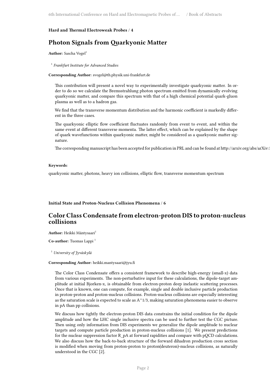#### **Hard and Thermal Electroweak Probes** / **4**

### **Photon Signals from Quarkyonic Matter**

**Author:** Sascha Vogel<sup>1</sup>

1 *Frankfurt Institute for Advanced Studies*

**Corresponding Author:** svogel@th.physik.uni-frankfurt.de

This contribution will present a novel way to experimentally investigate quarkyonic matter. In order to do so we calculate the Bremsstrahlung photon spectrum emitted from dynamically evolving quarkyonic matter, and compare this spectrum with that of a high chemical potential quark-gluon plasma as well as to a hadron gas.

We find that the transverse momentum distribution and the harmonic coefficient is markedly different in the three cases.

The quarkyonic elliptic flow coefficient fluctuates randomly from event to event, and within the same event at different transverse momenta. The latter effect, which can be explained by the shape of quark wavefunctions within quarkyonic matter, might be considered as a quarkyonic matter signature.

The corresponding manuscript has been accepted for publication in PRL and can be found at http://arxiv.org/abs/arXiv:

#### **Keywords**:

quarkyonic matter, photons, heavy ion collisions, elliptic flow, transverse momentum spectrum

#### <span id="page-9-0"></span>**Initial State and Proton-Nucleus Collision Phenomena** / **6**

### **Color Class Condensate from electron-proton DIS to proton-nucleus collisions**

Author: Heikki Mäntysaari<sup>1</sup>

**Co-author:** Tuomas Lappi<sup>1</sup>

<sup>1</sup> *University of Jyväskylä*

#### **Corresponding Author:** heikki.mantysaari@jyu.fi

The Color Class Condensate offers a consistent framework to describe high-energy (small-x) data from various experiments. The non-perturbative input for these calculations, the dipole-target amplitude at initial Bjorken-x, is obtainable from electron-proton deep inelastic scattering processes. Once that is known, one can compute, for example, single and double inclusive particle production in proton-proton and proton-nucleus collisions. Proton-nucleus collisions are especially interesting as the saturation scale is expected to scale as  $A^1/3$ , making saturation phenomena easier to observe in pA than pp collisions.

We discuss how tightly the electron-proton DIS data constrains the initial condition for the dipole amplitude and how the LHC single inclusive spectra can be used to further test the CGC picture. Then using only information from DIS experiments we generalize the dipole amplitude to nuclear targets and compute particle production in proton-nucleus collisions [1]. We present predictions for the nuclear suppression factor R\_pA at forward rapidities and compare with pQCD calculations. We also discuss how the back-to-back structure of the forward dihadron production cross section is modified when moving from proton-proton to proton(deuteron)-nucleus collisions, as naturally understood in the CGC [2].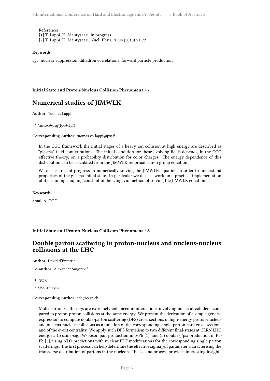References:

[1] T. Lappi, H. Mäntysaari, in progress

[2] T. Lappi, H. Mäntysaari, Nucl. Phys. A908 (2013) 51-72

#### **Keywords**:

cgc, nuclear suppression, dihadron correlations, forward particle production

#### <span id="page-10-0"></span>**Initial State and Proton-Nucleus Collision Phenomena** / **7**

### **Numerical studies of JIMWLK**

**Author:** Tuomas Lappi<sup>1</sup>

<sup>1</sup> *University of Jyväskylä*

#### **Corresponding Author:** tuomas.v.v.lappi@jyu.fi

In the CGC framework the initial stages of a heavy ion collision at high energy are described as "glasma" field configurations. The initial condition for these evolving fields depends, in the CGC effective theory, on a probability distribution for color charges. The energy dependence of this distribution can be calculated from the JIMWLK renormalization group equation.

We discuss recent progress in numerically solving the JIMWLK equation in order to understand properties of the glasma initial state. In particular we discuss work on a practical implementation of the running coupling constant in the Langevin method of solving the JIMWLK equation.

#### **Keywords**:

Small-x, CGC

#### <span id="page-10-1"></span>**Initial State and Proton-Nucleus Collision Phenomena** / **8**

### **Double parton scattering in proton-nucleus and nucleus-nucleus collisions at the LHC**

**Author:** David d'Enterria<sup>1</sup>

**Co-author:** Alexander Snigirev <sup>2</sup>

<sup>1</sup> *CERN* <sup>2</sup> *MSU Moscow*

#### **Corresponding Author:** dde@cern.ch

Multi-parton scatterings are extremely enhanced in interactions involving nuclei at colliders, compared to proton-proton collisions at the same energy. We present the derivation of a simple generic expression to compute double-parton scattering (DPS) cross sections in high-energy proton-nucleus and nucleus-nucleus collisions as a function of the corresponding single-parton hard cross sections and of the event centrality. We apply such DPS formalism to two different final-states at CERN LHC energies: (i) same-sign W-boson pair production in p-Pb [1], and (ii) double-J/psi production in Pb-Pb [2], using NLO predictions with nuclear PDF modifications for the corresponding single-parton scatterings. The first process can help determine the effective sigma\_eff parameter characterising the transverse distribution of partons in the nucleon. The second process provides interesting insights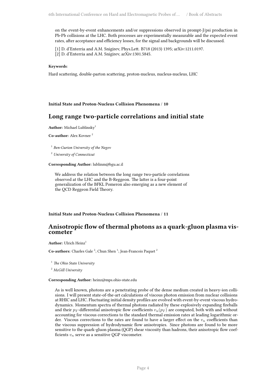on the event-by-event enhancements and/or suppressions observed in prompt-J/psi production in Pb-Pb collisions at the LHC. Both processes are experimentally measurable and the expected event rates, after acceptance and efficiency losses, for the signal and backgrounds will be discussed.

[1] D. d'Enterria and A.M. Snigirev, Phys.Lett. B718 (2013) 1395; arXiv:1211.0197. [2] D. d'Enterria and A.M. Snigirev, arXiv:1301.5845.

#### **Keywords**:

Hard scattering, double-parton scattering, proton-nucleus, nucleus-nucleus, LHC

#### <span id="page-11-0"></span>**Initial State and Proton-Nucleus Collision Phenomena** / **10**

### **Long range two-particle correlations and initial state**

**Author:** Michael Lublinsky<sup>1</sup>

**Co-author:** Alex Kovner <sup>2</sup>

1 *Ben-Gurion University of the Negev*

<sup>2</sup> *University of Connecticut*

**Corresponding Author:** lublinm@bgu.ac.il

We address the relation between the long range two-particle correlations observed at the LHC and the B-Reggeon. The latter is a four-point generalization of the BFKL Pomeron also emerging as a new element of the QCD Reggeon Field Theory.

#### <span id="page-11-1"></span>**Initial State and Proton-Nucleus Collision Phenomena** / **11**

### **Anisotropic flow of thermal photons as a quark-gluon plasma viscometer**

**Author:** Ulrich Heinz<sup>1</sup>

Co-authors: Charles Gale<sup>2</sup>; Chun Shen<sup>1</sup>; Jean-Francois Paquet<sup>2</sup>

<sup>1</sup> *The Ohio State University*

<sup>2</sup> *McGill University*

#### **Corresponding Author:** heinz@mps.ohio-state.edu

<span id="page-11-2"></span>As is well known, photons are a penetrating probe of the dense medium created in heavy-ion collisions. I will present state-of-the-art calculations of viscous photon emission from nuclear collisions at RHIC and LHC. Fluctuating initial density profiles are evolved with event-by-event viscous hydrodynamics. Momentum spectra of thermal photons radiated by these explosively expanding fireballs and their  $p_T$ -differential anisotropic flow coefficients  $v_n(p_T)$  are computed, both with and without accounting for viscous corrections to the standard thermal emission rates at leading logarithmic order. Viscous corrections to the rates are found to have a larger effect on the *v<sup>n</sup>* coefficients than the viscous suppression of hydrodynamic flow anisotropies. Since photons are found to be more sensitive to the quark-gluon plasma (QGP) shear viscosity than hadrons, their anisotropic flow coefficients *v<sup>n</sup>* serve as a sensitive QGP viscometer.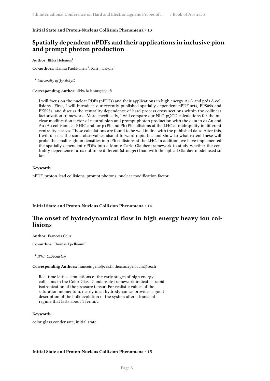#### **Initial State and Proton-Nucleus Collision Phenomena** / **13**

### **Spatially dependent nPDFs and their applications in inclusive pion and prompt photon production**

**Author:** Ilkka Helenius<sup>1</sup>

 $\mathbf C$ o-a**uthors:** Hannu Paukkunen <sup>1</sup>; Kari J. Eskola <sup>1</sup>

<sup>1</sup> *University of Jyväskylä*

#### **Corresponding Author:** ilkka.helenius@jyu.fi

I will focus on the nuclear PDFs (nPDFs) and their applications in high energy A+A and p/d+A collisions. First, I will introduce our recently published spatially dependent nPDF sets, EPS09s and EKS98s, and discuss the centrality dependence of hard-process cross-sections within the collinear factorization framework. More specifically, I will compare our NLO pQCD calculations for the nuclear modification factor of neutral pion and prompt photon production with the data in d+Au and Au+Au collisions at RHIC and for p+Pb and Pb+Pb collisions at the LHC at midrapidity in different centrality classes. These calculations are found to be well in line with the published data. After this, I will discuss the same observables also at forward rapidities and show to what extent these will probe the small-*x* gluon densities in p+Pb collisions at the LHC. In addition, we have implemented the spatially dependent nPDFs into a Monte-Carlo Glauber framework to study whether the centrality dependence turns out to be different (stronger) than with the optical Glauber model used so far.

#### **Keywords**:

nPDF, proton-lead collisions, prompt photons, nuclear modification factor

#### <span id="page-12-0"></span>**Initial State and Proton-Nucleus Collision Phenomena** / **14**

### **The onset of hydrodynamical flow in high energy heavy ion collisions**

#### **Author:** Francois Gelis<sup>1</sup>

**Co-author:** Thomas Epelbaum <sup>1</sup>

1 *IPhT, CEA-Saclay*

**Corresponding Authors:** francois.gelis@cea.fr, thomas.epelbaum@cea.fr

Real time lattice simulations of the early stages of high energy collisions in the Color Glass Condensate framework indicate a rapid isotropization of the pressure tensor. For realistic values of the saturation momentum, nearly ideal hydrodynamics provides a good description of the bulk evolution of the system after a transient regime that lasts about 1 fermi/c.

#### **Keywords**:

<span id="page-12-1"></span>color glass condensate, initial state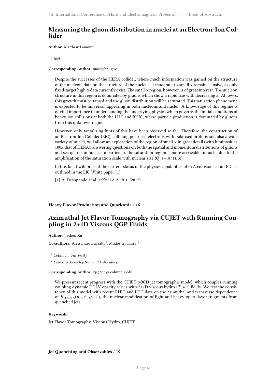### **Measuring the gluon distribution in nuclei at an Electron-Ion Collider**

**Author:** Matthew Lamont<sup>1</sup>

1 *BNL*

**Corresponding Author:** macl@bnl.gov

Despite the successes of the HERA collider, where much information was gained on the structure of the nucleon, data on the structure of the nucleus at moderate-to-small x remains elusive, as only fixed-target high-x data currently exist. The small-x region, however, is of great interest. The nucleon structure in this region is dominated by gluons which show a rapid rise with decreasing x. At low-x, this growth must be tamed and the gluon distribution will be saturated. This saturation phenomena is expected to be universal, appearing in both nucleons and nuclei. A knowledge of this regime is of vital importance to understanding the underlying physics which governs the initial conditions of heavy-ion collisions at both the LHC and RHIC, where particle production is dominated by gluons from this unknown region.

However, only tantalising hints of this have been observed so far. Therefore, the construction of an Electron-Ion Collider (EIC), colliding polarised electrons with polarised protons and also a wide variety of nuclei, will allow an exploration of the region of small-x in great detail (with luminosities 100x that of HERA), answering questions on both the spatial and momentum distributions of gluons and sea quarks in nuclei. In particular, the saturation region is more accessible in nuclei due to the amplification of the saturation scale with nuclear size (Q\_s ~ A^(1/3)).

In this talk I will present the current status of the physics capabilities of e+A collisions at an EIC as outlined in the EIC White paper [1].

[1] A. Deshpande at al, arXiv:1212.1701, (2012)

#### <span id="page-13-0"></span>**Heavy Flavor Production and Quarkonia** / **16**

### **Azimuthal Jet Flavor Tomography via CUJET with Running Coupling in 2+1D Viscous QGP Fluids**

Author: Jiechen Xu<sup>1</sup>

Co-authors: Alessandro Buzzatti<sup>2</sup>; Miklos Gyulassy<sup>1</sup>

<sup>1</sup> *Columbia University*

2 *Lawrence Berkeley National Laboratory*

**Corresponding Author:** xjc@phys.columbia.edu

We present recent progress with the CUJET pQCD jet tomographic model, which couples running coupling dynamic DGLV opacity series with 2+1D viscous hydro  $(T, u^{\mu})$  fields. We test the consistency of this model with recent RHIC and LHC data on the azimuthal and transverse dependence of  $R_{AA\to h}(p_T, \phi, \sqrt{s}, b)$ , the nuclear modification of light and heavy open flavor fragments from quenched jets.

#### **Keywords**:

Jet Flavor Tomography, Viscous Hydro, CUJET

#### <span id="page-13-1"></span>**Jet Quenching and Observables** / **19**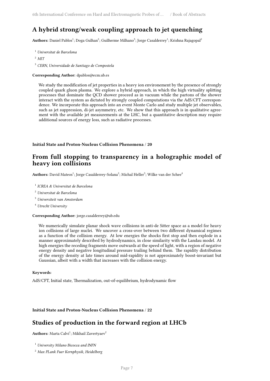### **A hybrid strong/weak coupling approach to jet quenching**

 ${\bf Authors:}$  Daniel Pablos $^1;$  Doga Gulhan $^2;$  Guilherme Milhano $^3;$  Jorge Casalderrey $^1;$  Krishna Rajagopal $^2$ 

- <sup>1</sup> *Universitat de Barcelona*
- <sup>2</sup> *MIT*

<sup>3</sup> *CERN, Universidade de Santiago de Compostela*

#### **Corresponding Author:** dpablos@ecm.ub.es

We study the modification of jet properties in a heavy ion environement by the presence of strongly coupled quark gluon plasma. We explore a hybrid approach, in which the high virtuality splitting processes that dominate the QCD shower proceed as in vacuum while the partons of the shower interact with the system as dictated by strongly coupled computations via the AdS/CFT correspondence. We incorporate this approach into an event Monte Carlo and study multiple jet observables, such as jet suppression, di-jet asymmetry, etc. We show that this approach is in qualitative agreement with the available jet measurements at the LHC, but a quantitative description may require additional sources of energy loss, such as radiative processes.

#### <span id="page-14-0"></span>**Initial State and Proton-Nucleus Collision Phenomena** / **20**

### **From full stopping to transparency in a holographic model of heavy ion collisions**

 $\mathbf{Aut}$ **hors:** David Mateos $^1$ ; Jorge Casalderrey-Solana $^2$ ; Michal Heller $^3$ ; Wilke van der Schee $^4$ 

1 *ICREA & Universitat de Barcelona*

- <sup>2</sup> *Universitat de Barcelona*
- <sup>3</sup> *Universiteit van Amsterdam*
- <sup>4</sup> *Utrecht University*

#### **Corresponding Author:** jorge.casalderrey@ub.edu

We numerically simulate planar shock wave collisions in anti-de Sitter space as a model for heavy ion collisions of large nuclei. We uncover a cross-over between two different dynamical regimes as a function of the collision energy. At low energies the shocks first stop and then explode in a manner approximately described by hydrodynamics, in close similarity with the Landau model. At high energies the receding fragments move outwards at the speed of light, with a region of negative energy density and negative longitudinal pressure trailing behind them. The rapidity distribution of the energy density at late times around mid-rapidity is not approximately boost-invariant but Gaussian, albeit with a width that increases with the collision energy.

#### **Keywords**:

AdS/CFT, Initial state, Thermalization, out-of-equilibrium, hydrodynamic flow

<span id="page-14-1"></span>**Initial State and Proton-Nucleus Collision Phenomena** / **22**

### **Studies of production in the forward region at LHCb**

Authors: Marta Calvi<sup>1</sup>; Mikhail Zavertyaev<sup>2</sup>

<sup>1</sup> *University Milano Bicocca and INFN*

<sup>2</sup> *Max PLank Fuer Kernphysik, Heidelberg*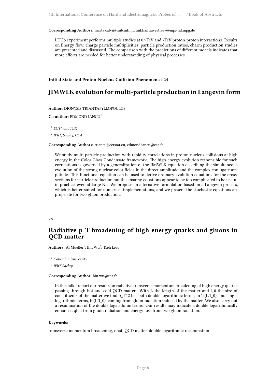**Corresponding Authors:** marta.calvi@mib.infn.it, mikhail.zavertiaev@mpi-hd.mpg.de

LHCb experiment performs multiple studies at 0.9TeV and 7TeV proton-proton interactions. Results on Energy flow, charge particle multiplicities, particle production ratios, charm production studies are presented and discussed. The comparison with the predictions of different models indicates that more efforts are needed for better understanding of physical processes.

<span id="page-15-0"></span>**Initial State and Proton-Nucleus Collision Phenomena** / **24**

### **JIMWLK evolution for multi-particle production in Langevin form**

#### **Author:** DIONYSIS TRIANTAFYLLOPOULOS<sup>1</sup>

#### **Co-author:** EDMOND IANCU <sup>2</sup>

1 *ECT\* and FBK*

2 *IPhT, Saclay, CEA*

#### **Corresponding Authors:** trianta@ectstar.eu, edmond.iancu@cea.fr

We study multi-particle production with rapidity correlations in proton-nucleus collisions at high energy in the Color Glass Condensate framework. The high-energy evolution responsible for such correlations is governed by a generalization of the JIMWLK equation describing the simultaneous evolution of the strong nuclear color fields in the direct amplitude and the complex conjugate amplitude. This functional equation can be used to derive ordinary evolution equations for the crosssections for particle production but the ensuing equations appear to be too complicated to be useful in practice, even at large Nc. We propose an alternative formulation based on a Langevin process, which is better suited for numerical implementations, and we present the stochastic equations appropriate for two gluon production.

#### <span id="page-15-1"></span>**28**

### **Radiative p\_T broadening of high energy quarks and gluons in QCD matter**

 $\mathbf{Authors}\colon \mathbf{Al\; Mueller}^{1}; \mathbf{Bin\;} \mathbf{Wu}^{2}; \mathbf{Tseh\; Liou}^{1}$ 

<sup>1</sup> *Columbia University*

2 *IPhT Saclay*

#### **Corresponding Author:** bin.wu@cea.fr

In this talk I report our results on radiative transverse momentum broadening of high energy quarks passing through hot and cold QCD matter. With L the length of the matter and l\_0 the size of constituents of the matter we find p\_T^2 has both double logarithmic terms,  $\ln^2(2(L/l_0))$ , and single logarithmic terms,  $ln(L/1\ 0)$ , coming from gluon radiation induced by the matter. We also carry out a resummation of the double logarithmic terms. Our results may indicate a double logarithmically enhanced qhat from gluon radiation and energy loss from two gluon radiation.

#### **Keywords**:

<span id="page-15-2"></span>transverse momentum broadening, qhat, QCD matter, double logarithmic resummation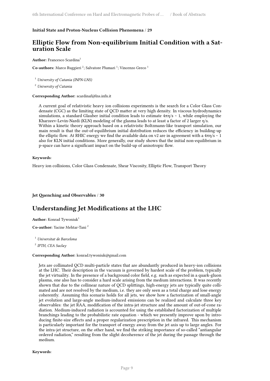#### **Initial State and Proton-Nucleus Collision Phenomena** / **29**

### **Elliptic Flow from Non-equilibrium Initial Condition with a Saturation Scale**

#### **Author:** Francesco Scardina<sup>1</sup>

Co-authors: Marco Ruggieri<sup>2</sup>; Salvatore Plumari<sup>1</sup>; Vincenzo Greco<sup>1</sup>

<sup>1</sup> *University of Catania (INFN-LNS)*

<sup>2</sup> *University of Catania*

#### **Corresponding Author:** scardinaf@lns.infn.it

A current goal of relativistic heavy ion collisions experiments is the search for a Color Glass Condensate (CGC) as the limiting state of QCD matter at very high density. In viscous hydrodynamics simulations, a standard Glauber initial condition leads to estimate 4πη/s ∼ 1, while employing the Kharzeev-Levin-Nardi (KLN) modeling of the glasma leads to at least a factor of 2 larger η/s. Within a kinetic theory approach based on a relativistic Boltzmann-like transport simulation, our main result is that the out-of-equilibrium initial distribution reduces the efficiency in building-up the elliptic flow. At RHIC energy we find the available data on v2 are in agreement with a  $4\pi\eta/s \sim 1$ also for KLN initial conditions. More generally, our study shows that the initial non-equilibrium in p-space can have a significant impact on the build-up of anisotropic flow.

#### **Keywords**:

Heavy ion collisions, Color Glass Condensate, Shear Viscosity, Elliptic Flow, Transport Theory

#### <span id="page-16-0"></span>**Jet Quenching and Observables** / **30**

### **Understanding Jet Modifications at the LHC**

**Author:** Konrad Tywoniuk<sup>1</sup>

**Co-author:** Yacine Mehtar-Tani <sup>2</sup>

<sup>1</sup> *Universitat de Barcelona*

2 *IPTH, CEA Saclay*

#### **Corresponding Author:** konrad.tywoniuk@gmail.com

Jets are collimated QCD multi-particle states that are abundantly produced in heavy-ion collisions at the LHC. Their description in the vacuum is governed by hardest scale of the problem, typically the jet virtuality. In the presence of a background color field, e.g. such as expected in a quark-gluon plasma, one also has to consider a hard scale arising from the medium interactions. It was recently shown that due to the collinear nature of QCD splittings, high-energy jets are typically quite collimated and are not resolved by the medium, i.e. they are only seen as a total charge and lose energy coherently. Assuming this scenario holds for all jets, we show how a factorization of small-angle jet evolution and large-angle medium-induced emissions can be realized and calculate three key observables: the jet RAA, modification of the intra-jet structure and the amount of out-of-cone radiation. Medium-induced radiation is accounted for using the established factorization of multiple branchings leading to the probabilistic rate equation - which we presently improve upon by introducing finite-size effects and a proper regularization prescription in the infrared. This mechanism is particularly important for the transport of energy away from the jet axis up to large angles. For the intra-jet structure, on the other hand, we find the striking importance of so-called "antiangular ordered radiation," resulting from the slight decoherence of the jet during the passage through the medium.

**Keywords**: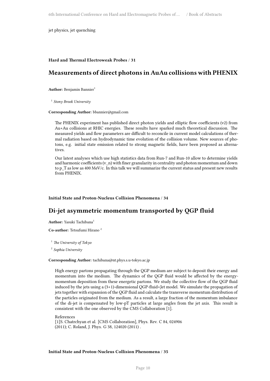jet physics, jet quenching

#### <span id="page-17-0"></span>**Hard and Thermal Electroweak Probes** / **31**

### **Measurements of direct photons in AuAu collisions with PHENIX**

**Author:** Benjamin Bannier<sup>1</sup>

1 *Stony Brook University*

**Corresponding Author:** bbannier@gmail.com

The PHENIX experiment has published direct photon yields and elliptic flow coefficients (v2) from Au+Au collisions at RHIC energies. These results have sparked much theoretical discussion. The measured yields and flow parameters are difficult to reconcile in current model calculations of thermal radiation based on hydrodynamic time evolution of the collision volume. New sources of photons, e.g. initial state emission related to strong magnetic fields, have been proposed as alternatives.

Our latest analyses which use high statistics data from Run-7 and Run-10 allow to determine yields and harmonic coefficients  $(v_n)$  with finer granularity in centrality and photon momentum and down to p\_T as low as 400 MeV/c. In this talk we will summarize the current status and present new results from PHENIX.

#### <span id="page-17-1"></span>**Initial State and Proton-Nucleus Collision Phenomena** / **34**

### **Di-jet asymmetric momentum transported by QGP fluid**

Author: Yasuki Tachibana<sup>1</sup>

**Co-author:** Tetsufumi Hirano <sup>2</sup>

<sup>1</sup> *The University of Tokyo*

2 *Sophia University*

#### **Corresponding Author:** tachibana@nt.phys.s.u-tokyo.ac.jp

High energy partons propagating through the QGP medium are subject to deposit their energy and momentum into the medium. The dynamics of the QGP fluid would be affected by the energymomentum deposition from these energetic partons. We study the collective flow of the QGP fluid induced by the jets using a (3+1)-dimensional QGP-fluid+Jet model. We simulate the propagation of jets together with expansion of the QGP fluid and calculate the transverse momentum distribution of the particles originated from the medium. As a result, a large fraction of the momentum imbalance of the di-jet is compensated by low-pT particles at large angles from the jet axis. This result is consistent with the one observed by the CMS Collaboration [1].

References [1]S. Chatrchyan et al. [CMS Collaboration], Phys. Rev. C 84, 024906 (2011); C. Roland, J. Phys. G 38, 124020 (2011) .

#### **Initial State and Proton-Nucleus Collision Phenomena** / **35**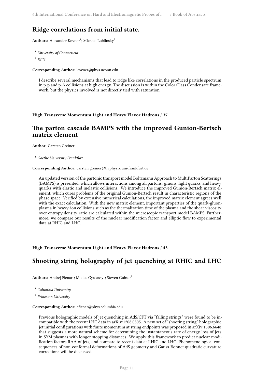### **Ridge correlations from initial state.**

 $\mathbf{Authors}\text{:}~\text{Alexander Kovner}^1\text{:}~\text{Michael Lublinsky}^2$ 

```
1 University of Connecticut
```
2 *BGU*

**Corresponding Author:** kovner@phys.uconn.edu

I describe several mechanisms that lead to ridge like correlations in the produced particle spectrum in p-p and p-A collisions at high energy. The discussion is within the Color Glass Condensate framework, but the physics involved is not directly tied with saturation.

<span id="page-18-0"></span>**High Transverse Momentum Light and Heavy Flavor Hadrons** / **37**

### **The parton cascade BAMPS with the improved Gunion-Bertsch matrix element**

**Author:** Carsten Greiner<sup>1</sup>

<sup>1</sup> *Goethe University Frankfurt*

#### **Corresponding Author:** carsten.greiner@th.physik.uni-frankfurt.de

An updated version of the partonic transport model Boltzmann Approach to MultiParton Scatterings (BAMPS) is presented, which allows interactions among all partons: gluons, light quarks, and heavy quarks with elastic and inelastic collisions. We introduce the improved Gunion-Bertsch matrix element, which cures problems of the original Gunion-Bertsch result in characteristic regions of the phase space. Verified by extensive numerical calculations, the improved matrix element agrees well with the exact calculation. With the new matrix element, important properties of the quark-gluonplasma in heavy-ion collisions such as the thermalization time of the plasma and the shear viscosity over entropy density ratio are calculated within the microscopic transport model BAMPS. Furthermore, we compare our results of the nuclear modification factor and elliptic flow to experimental data at RHIC and LHC.

<span id="page-18-1"></span>**High Transverse Momentum Light and Heavy Flavor Hadrons** / **43**

### **Shooting string holography of jet quenching at RHIC and LHC**

 $\mathbf{Authors}\colon \mathbf{Andrew}^1; \mathbf{Miklos}\: \mathbf{Gyulassy}^1; \mathbf{Steven}\: \mathbf{Gubser}^2$ 

<sup>1</sup> *Columbia University*

2 *Princeton University*

#### **Corresponding Author:** aficnar@phys.columbia.edu

Previous holographic models of jet quenching in AdS/CFT via "falling strings" were found to be incompatible with the recent LHC data in arXiv:1208.0305. A new set of "shooting string" holographic jet initial configurations with finite momentum at string endpoints was proposed in arXiv:1306.6648 that suggests a more natural scheme for determining the instantaneous rate of energy loss of jets in SYM plasmas with longer stopping distances. We apply this framework to predict nuclear modification factors RAA of jets, and compare to recent data at RHIC and LHC. Phenomenological consequences of non-conformal deformations of AdS geometry and Gauss-Bonnet quadratic curvature corrections will be discussed.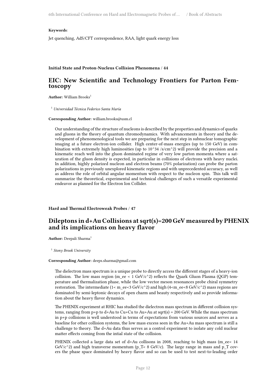#### **Keywords**:

Jet quenching, AdS/CFT correspondence, RAA, light quark energy loss

#### <span id="page-19-0"></span>**Initial State and Proton-Nucleus Collision Phenomena** / **44**

### **EIC: New Scientific and Technology Frontiers for Parton Femtoscopy**

Author: William Brooks<sup>1</sup>

<sup>1</sup> *Universidad Técnica Federico Santa María*

**Corresponding Author:** william.brooks@usm.cl

Our understanding of the structure of nucleons is described by the properties and dynamics of quarks and gluons in the theory of quantum chromodynamics. With advancements in theory and the development of phenomenological tools we are preparing for the next step in subnuclear tomographic imaging at a future electron-ion collider. High center-of-mass energies (up to 150 GeV) in combination with extremely high luminosities (up to  $10^{\circ}34$  /s/cm $^{\circ}2$ ) will provide the precision and a kinematic reach well into the gluon dominated regime of very low parton momenta where a saturation of the gluon density is expected, in particular in collisions of electrons with heavy nuclei. In addition, highly polarized nucleon and electron beams (70% polarization) can probe the parton polarizations in previously unexplored kinematic regions and with unprecedented accuracy, as well as address the role of orbital angular momentum with respect to the nucleon spin. This talk will summarize the theoretical, experimental and technical challenges of such a versatile experimental endeavor as planned for the Electron Ion Collider.

<span id="page-19-1"></span>**Hard and Thermal Electroweak Probes** / **47**

### **Dileptons in d+Au Collisions at sqrt(s)=200 GeV measured by PHENIX and its implications on heavy flavor**

Author: Deepali Sharma<sup>1</sup>

1 *Stony Brook University*

#### **Corresponding Author:** deeps.sharma@gmail.com

The dielectron mass spectrum is a unique probe to directly access the different stages of a heavy-ion collision. The low mass region (m\_ee < 1 GeV/c^2) reflects the Quark Gluon Plasma (QGP) temperature and thermalization phase, while the low vector meson resonances probe chiral symmetry restoration. The intermediate (1< m\_ee<3 GeV/c^2) and high (4<m\_ee<8 GeV/c^2) mass regions are dominated by semi-leptonic decays of open charm and beauty respectively and so provide information about the heavy flavor dynamics.

The PHENIX experiment at RHIC has studied the dielectron mass spectrum in different collision systems, ranging from p+p to d+Au to Cu+Cu to Au+Au at sqrt(s) = 200 GeV. While the mass spectrum in p+p collisions is well understood in terms of expectations from various sources and serves as a baseline for other collision systems, the low mass excess seen in the Au+Au mass spectrum is still a challenge to theory. The d+Au data thus serves as a control experiment to isolate any cold nuclear matter effects coming from the intial state of the collision.

PHENIX collected a large data set of d+Au collisons in 2008, reaching to high mass (m\_ee< 14 GeV/c^2) and high transverse momentum (p\_T< 8 GeV/c). The large range in mass and p\_T covers the phase space dominated by heavy flavor and so can be used to test next-to-leading order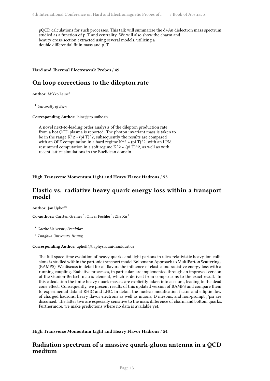pQCD calculations for such processes. This talk will summarize the d+Au dielectron mass spectrum studied as a function of p\_T and centrality. We will also show the charm and beauty cross-section extracted using several models, utilizing a double differential fit in mass and p\_T.

#### <span id="page-20-0"></span>**Hard and Thermal Electroweak Probes** / **49**

### **On loop corrections to the dilepton rate**

**Author:** Mikko Laine<sup>1</sup>

<sup>1</sup> *University of Bern*

**Corresponding Author:** laine@itp.unibe.ch

A novel next-to-leading order analysis of the dilepton production rate from a hot QCD plasma is reported. The photon invariant mass is taken to be in the range  $K^2$  ~ (pi T)^2; subsequently the results are compared with an OPE computation in a hard regime  $K^2 \times (pi T)^2$ , with an LPM resummed computation in a soft regime  $K^2 \times (pi T)^2$ , as well as with recent lattice simulations in the Euclidean domain.

<span id="page-20-1"></span>**High Transverse Momentum Light and Heavy Flavor Hadrons** / **53**

### **Elastic vs. radiative heavy quark energy loss within a transport model**

Author: Jan Uphoff<sup>1</sup>

Co-authors: Carsten Greiner<sup>1</sup>; Oliver Fochler<sup>1</sup>; Zhe Xu<sup>2</sup>

<sup>1</sup> *Goethe University Frankfurt*

2 *Tsinghua University, Beijing*

#### **Corresponding Author:** uphoff@th.physik.uni-frankfurt.de

The full space-time evolution of heavy quarks and light partons in ultra-relativistic heavy-ion collisions is studied within the partonic transport model Boltzmann Approach to MultiParton Scatterings (BAMPS). We discuss in detail for all flavors the influence of elastic and radiative energy loss with a running coupling. Radiative processes, in particular, are implemented through an improved version of the Gunion-Bertsch matrix element, which is derived from comparisons to the exact result. In this calculation the finite heavy quark masses are explicitly taken into account, leading to the dead cone effect. Consequently, we present results of this updated version of BAMPS and compare them to experimental data at RHIC and LHC. In detail, the nuclear modification factor and elliptic flow of charged hadrons, heavy flavor electrons as well as muons, D mesons, and non-prompt J/psi are discussed. The latter two are especially sensitive to the mass difference of charm and bottom quarks. Furthermore, we make predictions where no data is available yet.

<span id="page-20-2"></span>**High Transverse Momentum Light and Heavy Flavor Hadrons** / **54**

### **Radiation spectrum of a massive quark-gluon antenna in a QCD medium**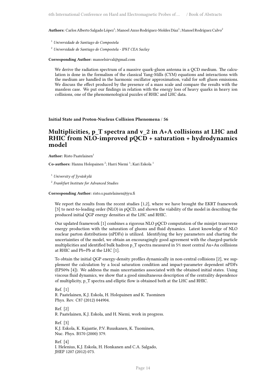A**uthors:** Carlos Alberto Salgado López<sup>1</sup>; Manoel Anxo Rodríguez-Moldes Díaz<sup>1</sup>; Manoel Rodríguez Calvo<sup>2</sup>

<sup>1</sup> *Universidade de Santiago de Compostela*

<sup>2</sup> *Universidade de Santiago de Compostela - IPhT CEA Saclay*

**Corresponding Author:** manoelsirval@gmail.com

We derive the radiation spectrum of a massive quark-gluon antenna in a QCD medium. The calculation is done in the formalism of the classical Yang-Mills (CYM) equations and interactions with the medium are handled in the harmonic oscillator approximation, valid for soft gluon emissions. We discuss the effect produced by the presence of a mass scale and compare the results with the massless case. We put our findings in relation with the energy loss of heavy quarks in heavy ion collisions, one of the phenomenological puzzles of RHIC and LHC data.

<span id="page-21-0"></span>**Initial State and Proton-Nucleus Collision Phenomena** / **56**

### **Multiplicities, p\_T spectra and v\_2 in A+A collisions at LHC and RHIC from NLO-improved pQCD + saturation + hydrodynamics model**

**Author:** Risto Paatelainen<sup>1</sup>

Co-authors: Hannu Holopainen<sup>2</sup>; Harri Niemi<sup>1</sup>; Kari Eskola<sup>1</sup>

<sup>1</sup> *University of Jyväskylä*

2 *Frankfurt Institute for Advanced Studies*

**Corresponding Author:** risto.s.paatelainen@jyu.fi

We report the results from the recent studies [1,2], where we have brought the EKRT framework [3] to next-to-leading order (NLO) in pQCD, and shown the viability of the model in describing the produced initial QGP energy densities at the LHC and RHIC.

Our updated framework [1] combines a rigorous NLO pQCD computation of the minijet transverse energy production with the saturation of gluons and fluid dynamics. Latest knowledge of NLO nuclear parton distributions (nPDFs) is utilized. Identifying the key parameters and charting the uncertainties of the model, we obtain an encouragingly good agreement with the charged-particle multiplicities and identified bulk hadron p\_T spectra measured in 5% most central Au+Au collisions at RHIC and Pb+Pb at the LHC [1].

To obtain the initial QGP energy-density profiles dynamically in non-central collisions [2], we supplement the calculation by a local saturation condition and impact-parameter dependent nPDFs (EPS09s [4]). We address the main uncertainties associated with the obtained initial states. Using viscous fluid dynamics, we show that a good simultaneous description of the centrality dependence of multiplicity, p\_T spectra and elliptic flow is obtained both at the LHC and RHIC.

Ref. [1] R. Paatelainen, K.J. Eskola, H. Holopainen and K. Tuominen Phys. Rev. C87 (2012) 044904.

Ref. [2]

R. Paatelainen, K.J. Eskola, and H. Niemi, work in progress.

Ref. [3] K.J. Eskola, K. Kajantie, P.V. Ruuskanen, K. Tuominen, Nuc. Phys. B570 (2000) 379.

Ref. [4] I. Helenius, K.J. Eskola, H. Honkanen and C.A. Salgado, JHEP 1207 (2012) 073.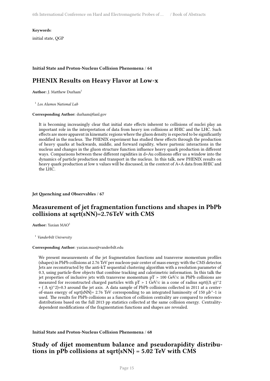**Keywords**:

initial state, QGP

#### <span id="page-22-0"></span>**Initial State and Proton-Nucleus Collision Phenomena** / **64**

### **PHENIX Results on Heavy Flavor at Low-x**

**Author:** J. Matthew Durham<sup>1</sup>

1 *Los Alamos National Lab*

**Corresponding Author:** durham@lanl.gov

It is becoming increasingly clear that initial state effects inherent to collisions of nuclei play an important role in the interpretation of data from heavy ion collisions at RHIC and the LHC. Such effects are more apparent in kinematic regions where the gluon density is expected to be significantly modified in the nucleus. The PHENIX experiment has studied these effects through the production of heavy quarks at backwards, middle, and forward rapidity, where partonic interactions in the nucleus and changes in the gluon structure function influence heavy quark production in different ways. Comparisons between these different rapidities in d+Au collisions offer us a window into the dynamics of particle production and transport in the nucleus. In this talk, new PHENIX results on heavy quark production at low x values will be discussed, in the context of A+A data from RHIC and the LHC.

#### <span id="page-22-1"></span>**Jet Quenching and Observables** / **67**

### **Measurement of jet fragmentation functions and shapes in PbPb collisions at sqrt(sNN)=2.76TeV with CMS**

**Author:** Yaxian MAO<sup>1</sup>

<sup>1</sup> *Vanderbilt University*

#### **Corresponding Author:** yaxian.mao@vanderbilt.edu

We present measurements of the jet fragmentation functions and transverse momentum profiles (shapes) in PbPb collisions at 2.76 TeV per nucleon-pair center of mass energy with the CMS detector. Jets are reconstructed by the anti-kT sequential clustering algorithm with a resolution parameter of 0.3, using particle-flow objects that combine tracking and calorimetric information. In this talk the jet properties of inclusive jets with transverse momentum pT > 100 GeV/c in PbPb collisions are measured for reconstructed charged particles with pT > 1 GeV/c in a cone of radius sqrt( $(\Delta \varphi)^2$ 2 + ( $\Delta$  η)^2)=0.3 around the jet axis. A data sample of PbPb collisions collected in 2011 at a centerof-mass energy of sqrt{sNN}= 2.76 TeV corresponding to an integrated luminosity of 150 µb^-1 is used. The results for PbPb collisions as a function of collision centrality are compared to reference distributions based on the full 2013 pp statistics collected at the same collision energy. Centralitydependent modifications of the fragmentation functions and shapes are revealed.

#### <span id="page-22-2"></span>**Initial State and Proton-Nucleus Collision Phenomena** / **68**

### **Study of dijet momentum balance and pseudorapidity distributions in pPb collisions at sqrt{sNN} = 5.02 TeV with CMS**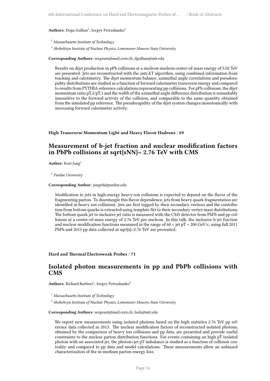Authors: Doga Gulhan<sup>1</sup>; Sergey Petrushanko<sup>2</sup>

<sup>1</sup> *Massachusetts Institute of Technology*

2 *Skobeltsyn Institute of Nuclear Physics, Lomonosov Moscow State University*

**Corresponding Authors:** sergeant@mail.cern.ch, dgulhan@mit.edu

Results on dijet production in pPb collisions at a nucleon-nucleon center-of-mass energy of 5.02 TeV are presented. Jets are reconstructed with the anti-kT algorithm, using combined information from tracking and calorimetry. The dijet momentum balance, azimuthal angle correlations and pseudorapidity distributions are studied as a function of forward calorimeter transverse energy and compared to results from PYTHIA reference calculations representing pp collisions. For pPb collisions, the dijet momentum ratio pT,2/pT,1 and the width of the azimuthal angle difference distribution is remarkably insensitive to the forward activity of the collision, and comparable to the same quantity obtained from the simulated pp reference. The pseudorapidity of the dijet system changes monotonically with increasing forward calorimeter activity.

#### <span id="page-23-0"></span>**High Transverse Momentum Light and Heavy Flavor Hadrons** / **69**

### **Measurement of b-jet fraction and nuclear modification factors in PbPb collisions at sqrt{sNN}= 2.76 TeV with CMS**

**Author:** Kurt Jung<sup>1</sup>

1 *Purdue University*

#### **Corresponding Author:** jung68@purdue.edu

Modification to jets in high-energy heavy-ion collisions is expected to depend on the flavor of the fragmenting parton. To disentangle this flavor dependence, jets from heavy quark fragmentation are identified in heavy ion collisions. Jets are first tagged by their secondary vertices and the contribution from bottom quarks is extracted using template fits to their secondary vertex mass distributions. The bottom quark jet to inclusive jet ratio is measured with the CMS detector from PbPb and pp collisions at a center-of-mass energy of 2.76 TeV per nucleon. In this talk, the inclusive b-jet fraction and nuclear modification functions measured in the range of  $60 < jet$  pT  $< 200$  GeV/c, using full 2011 PbPb and 2013 pp data collected at sqrt{s}=2.76 TeV are presented.

<span id="page-23-1"></span>**Hard and Thermal Electroweak Probes** / **71**

### **Isolated photon measurements in pp and PbPb collisions with CMS**

Authors: Richard Barbieri<sup>1</sup>; Sergey Petrushanko<sup>2</sup>

<sup>1</sup> *Massachusetts Institute of Technology*

2 *Skobeltsyn Institute of Nuclear Physics, Lomonosov Moscow State University*

**Corresponding Authors:** sergeant@mail.cern.ch, luck@mit.edu

We report new measurements using isolated photons based on the high statistics 2.76 TeV pp reference data collected in 2013. The nuclear modification factors of reconstructed isolated photons, obtained by the comparison of heavy ion collisions and pp data, are presented and provide useful constraints to the nuclear parton distribution functions. For events containing an high pT isolated photon with an associated jet, the photon+jet pT imbalance is studied as a function of collision centrality and compared to pp data and model calculations. These measurements allow an unbiased characterization of the in-medium parton energy loss.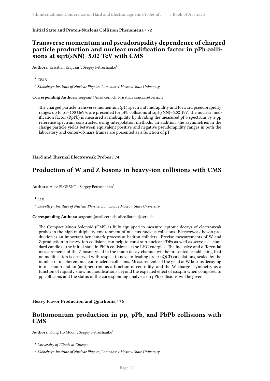#### <span id="page-24-0"></span>**Initial State and Proton-Nucleus Collision Phenomena** / **72**

### **Transverse momentum and pseudorapidity dependence of charged particle production and nuclear modification factor in pPb collisions at sqrt(sNN)=5.02 TeV with CMS**

 $\mathbf{Aut}$ **hors:** Krisztian Krajczar<sup>1</sup>; Sergey Petrushanko<sup>2</sup>

<sup>1</sup> *CERN*

2 *Skobeltsyn Institute of Nuclear Physics, Lomonosov Moscow State University*

**Corresponding Authors:** sergeant@mail.cern.ch, krisztian.krajczar@cern.ch

The charged particle transverse momentum (pT) spectra at midrapidity and forward pseudorapidity ranges up to pT=100 GeV/c are presented for pPb collisions at sqrt(sNN)=5.02 TeV. The nuclear modification factor (RpPb) is measured at midrapidity by dividing the measured pPb spectrum by a pp reference spectrum constructed using interpolation methods. In addition, the asymmetries in the charge particle yields between equivalent positive and negative pseudorapidity ranges in both the laboratory and center-of-mass frames are presented as a function of pT.

<span id="page-24-1"></span>**Hard and Thermal Electroweak Probes** / **74**

### **Production of W and Z bosons in heavy-ion collisions with CMS**

Authors: Alice FLORENT<sup>1</sup>; Sergey Petrushanko<sup>2</sup>

1 *LLR*

2 *Skobeltsyn Institute of Nuclear Physics, Lomonosov Moscow State University*

**Corresponding Authors:** sergeant@mail.cern.ch, alice.florent@cern.ch

The Compact Muon Solenoid (CMS) is fully equipped to measure leptonic decays of electroweak probes in the high multiplicity environment of nucleus-nucleus collisions. Electroweak boson production is an important benchmark process at hadron colliders. Precise measurements of W and Z production in heavy-ion collisions can help to constrain nuclear PDFs as well as serve as a standard candle of the initial state in PbPb collisions at the LHC energies. The inclusive and differential measurements of the Z boson yield in the muon decay channel will be presented, establishing that no modification is observed with respect to next-to-leading order pQCD calculations, scaled by the number of incoherent nucleon-nucleon collisions. Measurements of the yield of W bosons decaying into a muon and an (anti)neutrino as a function of centrality, and the W charge asymmetry as a function of rapidity show no modifications beyond the expected effect of isospin when compared to pp collisions and the status of the corresponding analyses on pPb collisions will be given.

<span id="page-24-2"></span>**Heavy Flavor Production and Quarkonia** / **76**

### **Bottomonium production in pp, pPb, and PbPb collisions with CMS**

Authors: Dong Ho Moon<sup>1</sup>; Sergey Petrushanko<sup>2</sup>

<sup>1</sup> *University of Illinois at Chicago*

2 *Skobeltsyn Institute of Nuclear Physics, Lomonosov Moscow State University*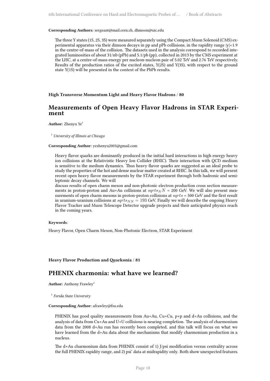**Corresponding Authors:** sergeant@mail.cern.ch, dhmoon@uic.edu

The three Y states (1S, 2S, 3S) were measured separately using the Compact Muon Solenoid (CMS) experimental apparatus via their dimuon decays in pp and pPb collisions, in the rapidity range  $|y|<1.9$ in the centre-of-mass of the collision. The datasets used in the analysis correspond to recorded integrated luminosities of about 31/nb (pPb) and 5.1/pb (pp), collected in 2013 by the CMS experiment at the LHC, at a centre-of-mass energy per nucleon-nucleon pair of 5.02 TeV and 2.76 TeV respectively. Results of the production ratios of the excited states, Y(2S) and Y(3S), with respect to the ground state Y(1S) will be presented in the context of the PbPb results.

<span id="page-25-0"></span>**High Transverse Momentum Light and Heavy Flavor Hadrons** / **80**

### **Measurements of Open Heavy Flavor Hadrons in STAR Experiment**

**Author:** Zhenyu Ye<sup>1</sup>

<sup>1</sup> *University of Illinois at Chicago*

#### **Corresponding Author:** yezhenyu2003@gmail.com

Heavy flavor quarks are dominantly produced in the initial hard interactions in high energy heavy ion collisions at the Relativistic Heavy Ion Collider (RHIC). Their interaction with QCD medium is sensitive to the medium dynamics. Thus heavy flavor quarks are suggested as an ideal probe to study the properties of the hot and dense nuclear matter created at RHIC. In this talk, we will present recent open heavy flavor measurements by the STAR experiment through both hadronic and semileptonic decay channels. We will

discuss results of open charm meson and non-photonic electron production cross section measurements in proton-proton and Au+Au collisions at  $sqrts_NN = 200$  GeV. We will also present measurements of open charm mesons in proton-proton collisions at *sqrts* = 500 GeV and the first result in uranium-uranium collisions at  $sqrt{s_{NN}} = 193$  GeV. Finally we will describe the ongoing Heavy Flavor Tracker and Muon Telescope Detector upgrade projects and their anticipated physics reach in the coming years.

#### **Keywords**:

Heavy Flavor, Open Charm Meson, Non-Photonic Electron, STAR Experiment

#### <span id="page-25-1"></span>**Heavy Flavor Production and Quarkonia** / **81**

### **PHENIX charmonia: what have we learned?**

**Author:** Anthony Frawley<sup>1</sup>

1 *Forida State University*

#### **Corresponding Author:** afrawley@fsu.edu

PHENIX has good quality measurements from Au+Au, Cu+Cu, p+p and d+Au collisions, and the analysis of data from Cu+Au and U+U collisions is nearing completion. The analysis of charmonium data from the 2008 d+Au run has recently been completed, and this talk will focus on what we have learned from the d+Au data about the mechanisms that modify charmonium production in a nucleus.

The d+Au charmonium data from PHENIX consist of 1) J/psi modification versus centrality across the full PHENIX rapidity range, and 2) psi' data at midrapidity only. Both show unexpected features.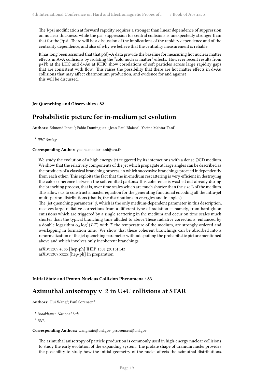The J/psi modification at forward rapidity requires a stronger than linear dependence of suppression on nuclear thickness, while the psi' suppression for central collisions is unexpectedly stronger than that for the J/psi. There will be a discussion of the implications of the rapidity dependence and of the centrality dependence, and also of why we believe that the centrality measurement is reliable.

It has long been assumed that that  $p(d)+A$  data provide the baseline for measuring hot nuclear matter effects in A+A collisions by isolating the "cold nuclear matter" effects. However recent results from p+Pb at the LHC and d+Au at RHIC show correlations of soft particles across large rapidity gaps that are consistent with flow. This raises the possibility that there are hot matter effects in d+Au collisions that may affect charmonium production, and evidence for and against this will be discussed.

<span id="page-26-0"></span>**Jet Quenching and Observables** / **82**

### **Probabilistic picture for in-medium jet evolution**

 $\mathbf{Authors:}\ \mathbf{Edmond}\ \mathbf{I} \text{ancu}^1; \mathbf{F} \text{abio} \ \mathbf{Dominguez}^1; \mathbf{Jean-Paul}\ \mathbf{Blaizot}^1; \mathbf{Y} \text{acine}\ \mathbf{M} \text{ehtar-Tani}^1; \mathbf{Q} \text{deft} \text{ehtar}^1; \mathbf{Q} \text{deft} \text{deft}^1; \mathbf{Q} \text{deft}^2; \mathbf{Q} \text{deft}^1; \mathbf{Q} \text{deft}^2; \mathbf{Q} \text{deft}^3; \mathbf{Q} \text{deft}^3$ 

1 *IPhT Saclay*

#### **Corresponding Author:** yacine.mehtar-tani@cea.fr

We study the evolution of a high energy jet triggered by its interactions with a dense QCD medium. We show that the relatively components of the jet which propagate at large angles can be described as the products of a classical branching process, in which successive branchings proceed independently from each other. This exploits the fact that the in-medium rescattering is very efficient in destroying the color coherence between the soft emitted partons: this coherence is washed out already during the branching process, that is, over time scales which are much shorter than the size L of the medium. This allows us to construct a master equation for the generating functional encoding all the intra-jet multi-parton distributions (that is, the distributions in energies and in angles).

The 'jet quenching parameter'  $\hat{q}$ , which is the only medium-dependent parameter in this description, receives large radiative corrections from a different type of radiation — namely, from hard gluon emissions which are triggered by a single scattering in the medium and occur on time scales much shorter than the typical branching time alluded to above.These radiative corrections, enhanced by a double logarithm  $\alpha_s \log^2(LT)$  with  $T$  the temperature of the medium, are strongly ordered and overlapping in formation time. We show that these coherent branchings can be absorbed into a renormalization of the jet quenching parameter without spoiling the probabilistic picture mentioned above and which involves only incoherent branchings.

arXiv:1209.4585 [hep-ph] JHEP 1301 (2013) 143 arXiv:1307.xxxx [hep-ph] In preparation

#### **Initial State and Proton-Nucleus Collision Phenomena** / **83**

### **Azimuthal anisotropy v\_2 in U+U collisions at STAR**

**Authors:** Hui Wang<sup>1</sup>; Paul Sorensen<sup>2</sup>

1 *Brookhaven National Lab*

2 *BNL*

#### **Corresponding Authors:** wanghui6@bnl.gov, prsorensen@bnl.gov

The azimuthal anisotropy of particle production is commonly used in high-energy nuclear collisions to study the early evolution of the expanding system. The prolate shape of uranium nuclei provides the possibility to study how the initial geometry of the nuclei affects the azimuthal distributions.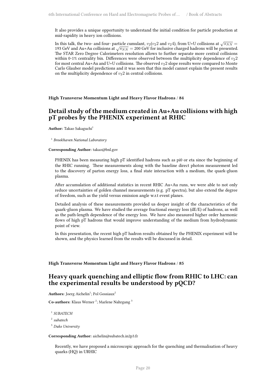It also provides a unique opportunity to understand the initial condition for particle production at mid-rapidity in heavy ion collisions.

In this talk, the two- and four- particle cumulant,  $v_2(v_22$  and  $v_24$ ), from U+U collisions at  $\sqrt{s_{NN}}$  = 193 GeV and Au+Au collisions at  $\sqrt{s_{NN}}$  = 200 GeV for inclusive charged hadrons will be presented. The STAR Zero Degree Calorimeters resolution allows to further separate more central collisions within 0-1% centrality bin. Differences were observed between the multiplicity dependence of  $v_2$ 2 for most central Au+Au and U+U collisions. The observed  $v_2$ 2 slope results were compared to Monte Carlo Glauber model predictions and it was seen that this model cannot explain the present results on the multiplicity dependence of  $v_2$ 2 in central collisions.

<span id="page-27-0"></span>**High Transverse Momentum Light and Heavy Flavor Hadrons** / **84**

### **Detail study of the medium created in Au+Au collisions with high pT probes by the PHENIX experiment at RHIC**

**Author:** Takao Sakaguchi<sup>1</sup>

1 *Brookhaven National Laboratory*

#### **Corresponding Author:** takao@bnl.gov

PHENIX has been measuring high pT identified hadrons such as pi0 or eta since the beginning of the RHIC running. These measurements along with the baseline direct photon measurement led to the discovery of parton energy loss, a final state interaction with a medium, the quark-gluon plasma.

After accumulation of additional statistics in recent RHIC Au+Au runs, we were able to not only reduce uncertainties of golden channel measurements (e.g. pT spectra), but also extend the degree of freedom, such as the yield versus emission angle w.r.t event planes.

Detailed analysis of these measurements provided us deeper insight of the characteristics of the quark-gluon plasma. We have studied the average fractional energy loss (dE/E) of hadrons, as well as the path-length dependence of the energy loss. We have also measured higher order harmonic flows of high pT hadrons that would improve understanding of the medium from hydrodynamic point of view.

In this presentation, the recent high pT hadron results obtained by the PHENIX experiment will be shown, and the physics learned from the results will be discussed in detail.

#### <span id="page-27-1"></span>**High Transverse Momentum Light and Heavy Flavor Hadrons** / **85**

### **Heavy quark quenching and elliptic flow from RHIC to LHC: can the experimental results be understood by pQCD?**

 $\mathbf{Aut} \mathbf{hors}\colon \mathbf{Joerg}$  Aichelin $^1$ ; Pol Gossiaux $^2$ 

Co-authors: Klaus Werner<sup>2</sup>; Marlene Nahrgang<sup>3</sup>

1 *SUBATECH*

2 *subatech*

<sup>3</sup> *Duke University*

#### **Corresponding Author:** aichelin@subatech.in2p3.fr

Recently, we have proposed a microscopic approach for the quenching and thermalisation of heavy quarks (HQ) in URHIC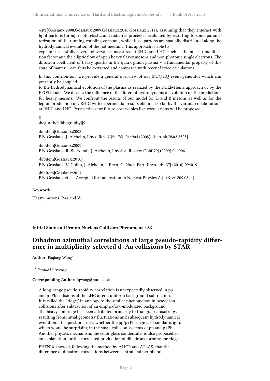\cite{Gossiaux:2008,Gossiaux:2009,Gossiaux:2010,Gossiaux:2011}, assuming that they interact with light partons through both elastic and radiative processes evaluated by resorting to some parameterization of the running coupling constant, while those partons are spatially distributed along the hydrodynamical evolution of the hot medium. This approach is able to

explain successfully several observables measured at RHIC and LHC, such as the nuclear modification factor and the elliptic flow of open heavy flavor mesons and non-photonic single electrons. The diffusion coefficient of heavy quarks in the quark gluon plasma – a fundamental property of this state of matter – can thus be extracted and compared with recent lattice calculations.

In this contribution, we provide a general overview of our MC@HQ event generator which can presently be coupled

to the hydrodynamical evolution of the plasma as realized by the KOLb-Heinz approach or by the EPOS model. We discuss the influence of the different hydrodynamical evolution on the predictions for heavy mesons. We confront the results of our model for D and B mesons as well as for the lepton production in URHIC with experimental results obtained so far by the various collaborations at RHIC and LHC. Perspectives for future observables like correlations will be proposed.

%

\begin{thebibliography}{9}

\bibitem{Gossiaux:2008} P.B. Gossiaux, J. Aichelin, Phys. Rev. C{\bf 78}, 014904 (2008), [hep-ph/0802.2525].

\bibitem{Gossiaux:2009} P.B. Gossiaux, R. Bierkandt, J. Aichelin, Physical Review C{\bf 79} (2009) 044906

\bibitem{Gossiaux:2010} P.B. Gossiaux, V. Guiho, J. Aichelin, J. Phys. G: Nucl. Part. Phys. {\bf 37} (2010) 094019

\bibitem{Gossiaux:2011} P.B. Gossiaux et al., Accepted for publication in Nuclear Physics A [arXiv:1209.0844]

**Keywords**:

Heavy mesons, Raa and V2

<span id="page-28-0"></span>**Initial State and Proton-Nucleus Collision Phenomena** / **86**

### **Dihadron azimuthal correlations at large pseudo-rapidity difference in multiplicity-selected d+Au collisions by STAR**

**Author:** Fuqiang Wang<sup>1</sup>

1 *Purdue University*

#### **Corresponding Author:** fqwang@purdue.edu

A long-range pseudo-rapidity correlation is unexpectedly observed in pp and p+Pb collisions at the LHC after a uniform background subtraction. It is called the "ridge," in analogy to the similar phenomenon in heavy-ion collisions after subtraction of an elliptic-flow-modulated background. The heavy-ion ridge has been attributed primarily to triangular anisotropy, resulting from initial geometry fluctuations and subsequent hydrodynamical evolution. The question arises whether the pp/p+Pb ridge is of similar origin, which would be surprising in the small collision systems of pp and p+Pb. Another physics mechanism, the color glass condensate, is also proposed as an explanation for the correlated production of dihadrons forming the ridge.

PHENIX showed, following the method by ALICE and ATLAS, that the difference of dihadron correlations between central and peripheral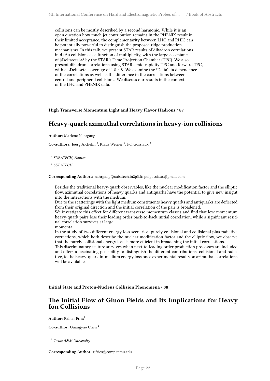collisions can be mostly described by a second harmonic. While it is an open question how much jet contribution remains in the PHENIX result in their limited acceptance, the complementarity between LHC and RHIC can be potentially powerful to distinguish the proposed ridge production mechanisms. In this talk, we present STAR results of dihadron correlations in d+Au collisions as a function of multiplicity, with the large acceptance of |\Delta\eta|<2 by the STAR's Time Projection Chamber (TPC). We also present dihadron correlations using STAR's mid-rapidity TPC and forward TPC, with a |\Delta\eta| coverage of 1.8-4.8. We examine the \Delta\eta dependence of the correlations as well as the difference in the correlations between central and peripheral collisions. We discuss our results in the context of the LHC and PHENIX data.

**High Transverse Momentum Light and Heavy Flavor Hadrons** / **87**

### **Heavy-quark azimuthal correlations in heavy-ion collisions**

**Author:** Marlene Nahrgang<sup>1</sup>

Co-authors: Joerg Aichelin<sup>2</sup>; Klaus Werner<sup>1</sup>; Pol Gossiaux<sup>2</sup>

1 *SUBATECH, Nantes*

2 *SUBATECH*

**Corresponding Authors:** nahrgang@subatech.in2p3.fr, polgossiaux@gmail.com

Besides the traditional heavy-quark observables, like the nuclear modification factor and the elliptic flow, azimuthal correlations of heavy quarks and antiquarks have the potential to give new insight into the interactions with the medium.

Due to the scatterings with the light medium constituents heavy quarks and antiquarks are deflected from their original direction and the initial correlation of the pair is broadened.

We investigate this effect for different transverse momentum classes and find that low-momentum heavy-quark pairs lose their leading order back-to-back initial correlation, while a significant residual correlation survives at large

momenta.

In the study of two different energy loss scenarios, purely collisional and collisional plus radiative corrections, which both describe the nuclear modification factor and the elliptic flow, we observe that the purely collisional energy loss is more efficient in broadening the initial correlations.

This discriminatory feature survives when next-to-leading order production processes are included and offers a fascinating possibility to distinguish the different contributions, collisional and radiative, to the heavy-quark in-medium energy loss once experimental results on azimuthal correlations will be available.

**Initial State and Proton-Nucleus Collision Phenomena** / **88**

### **The Initial Flow of Gluon Fields and Its Implications for Heavy Ion Collisions**

**Author:** Rainer Fries<sup>1</sup>

**Co-author:** Guangyao Chen <sup>1</sup>

1 *Texas A&M University*

**Corresponding Author:** rjfries@comp.tamu.edu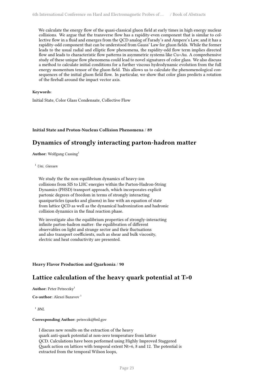We calculate the energy flow of the quasi-classical gluon field at early times in high energy nuclear collisions. We argue that the transverse flow has a rapidity-even component that is similar to collective flow in a fluid and emerges from the QCD analog of Farady's and Ampere's Law, and it has a rapidity-odd component that can be understood from Gauss' Law for gluon fields. While the former leads to the usual radial and elliptic flow phenomena, the rapidity-odd flow term implies directed flow and leads to characteristic flow patterns in asymmetric systems like Cu+Au. A comprehensive study of these unique flow phenomena could lead to novel signatures of color glass. We also discuss a method to calculate initial conditions for a further viscous hydrodynamic evolution from the full energy momentum tensor of the gluon field. This allows us to calculate the phenomenological consequences of the initial gluon field flow. In particular, we show that color glass predicts a rotation of the fireball around the impact vector axis.

#### **Keywords**:

Initial State, Color Glass Condensate, Collective Flow

#### <span id="page-30-0"></span>**Initial State and Proton-Nucleus Collision Phenomena** / **89**

### **Dynamics of strongly interacting parton-hadron matter**

Author: Wolfgang Cassing<sup>1</sup>

<sup>1</sup> *Uni. Giessen*

We study the the non-equilibrium dynamics of heavy-ion collisions from SIS to LHC energies within the Parton-Hadron-String Dynamics (PHSD) transport approach, which incorporates explicit partonic degrees of freedom in terms of strongly interacting quasiparticles (quarks and gluons) in line with an equation of state from lattice QCD as well as the dynamical hadronization and hadronic collision dynamics in the final reaction phase.

We investigate also the equilibrium properties of strongly-interacting infinite parton-hadron matter: the equilibration of different observables on light and strange sector and their fluctuations and also transport coefficients, such as shear and bulk viscosity, electric and heat conductivity are presented.

#### **Heavy Flavor Production and Quarkonia** / **90**

### **Lattice calculation of the heavy quark potential at T>0**

**Author:** Peter Petreczky<sup>1</sup>

**Co-author:** Alexei Bazavov <sup>1</sup>

1 *BNL*

#### **Corresponding Author:** petreczk@bnl.gov

I discuss new results on the extraction of the heavy quark anti-quark potential at non-zero temperature from lattice QCD. Calculations have been performed using Highly Improved Staggered Quark action on lattices with temporal extent Nt=6, 8 and 12. The potential is extracted from the temporal Wilson loops,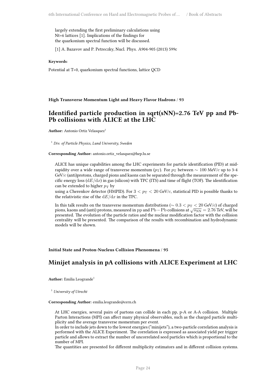largely extending the first preliminary calculations using Nt=6 lattices [1]. Implications of the findings for the quarkonium spectral function will be discussed.

[1] A. Bazavov and P. Petreczky, Nucl. Phys. A904-905 (2013) 599c

#### **Keywords**:

Potential at T>0, quarkonium spectral functions, lattice QCD

<span id="page-31-0"></span>**High Transverse Momentum Light and Heavy Flavor Hadrons** / **93**

### **Identified particle production in sqrt(sNN)=2.76 TeV pp and Pb-Pb collisions with ALICE at the LHC**

**Author:** Antonio Ortiz Velasquez<sup>1</sup>

<sup>1</sup> *Div. of Particle Physics, Lund University, Sweden*

**Corresponding Author:** antonio.ortiz\_velasquez@hep.lu.se

ALICE has unique capabilities among the LHC experiments for particle identification (PID) at midrapidity over a wide range of transverse momentum ( $p_T$ ). For  $p_T$  between  $\sim 100$  MeV/*c* up to 3-4 GeV/*c* (anti)protons, charged pions and kaons can be separated through the measurement of the specific energy loss  $(dE/dx)$  in gas (silicon) with TPC (ITS) and time of flight (TOF). The identification can be extended to higher  $p_T$  by

using a Cherenkov detector (HMPID). For  $3 < p_T < 20$  GeV/*c*, statistical PID is possible thanks to the relativistic rise of the d*E*/d*x* in the TPC.

In this talk results on the transverse momentum distributions ( $\sim 0.3 < p_T < 20$  GeV/ $c$ ) of charged pions, kaons and (anti) protons, measured in pp and Pb−Pb collisions at *√*<sup>*s*<sub>NN</sub></sup> = 2.76 TeV, will be presented. The evolution of the particle ratios and the nuclear modification factor with the collision centrality will be presented. The comparison of the results with recombination and hydrodynamic models will be shown.

<span id="page-31-1"></span>**Initial State and Proton-Nucleus Collision Phenomena** / **95**

### **Minijet analysis in pA collisions with ALICE Experiment at LHC**

Author: Emilia Leogrande<sup>1</sup>

<sup>1</sup> *University of Utrecht*

#### **Corresponding Author:** emilia.leogrande@cern.ch

At LHC energies, several pairs of partons can collide in each pp, p-A or A-A collision. Multiple Parton Interactions (MPI) can affect many physical observables, such as the charged particle multiplicity and the average transverse momentum per event.

In order to include jets down to the lowest energies ("minijets"), a two-particle correlation analysis is performed with the ALICE Experiment. The correlation is expressed as associated yield per trigger particle and allows to extract the number of uncorrelated seed particles which is proportional to the number of MPI.

The quantities are presented for different multiplicity estimators and in different collision systems.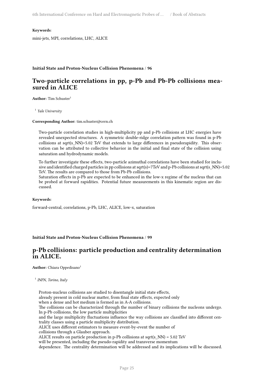**Keywords**:

mini-jets, MPI, correlations, LHC, ALICE

#### <span id="page-32-0"></span>**Initial State and Proton-Nucleus Collision Phenomena** / **96**

### **Two-particle correlations in pp, p-Pb and Pb-Pb collisions measured in ALICE**

**Author:** Tim Schuster<sup>1</sup>

1 *Yale University*

**Corresponding Author:** tim.schuster@cern.ch

Two-particle correlation studies in high-multiplicity pp and p-Pb collisions at LHC energies have revealed unexpected structures. A symmetric double-ridge correlation pattern was found in p-Pb collisions at sqrt(s\_NN)=5.02 TeV that extends to large differences in pseudorapidity. This observation can be attributed to collective behavior in the initial and final state of the collision using saturation and hydrodynamic models.

To further investigate these effects, two-particle azimuthal correlations have been studied for inclusive and identified charged particles in pp collisions at sqrt(s)=7TeV and p-Pb collisions at sqrt(s\_NN)=5.02 TeV. The results are compared to those from Pb-Pb collisions.

Saturation effects in p-Pb are expected to be enhanced in the low-x regime of the nucleus that can be probed at forward rapidities. Potential future measurements in this kinematic region are discussed.

#### **Keywords**:

forward-central, correlations, p-Pb, LHC, ALICE, low-x, saturation

<span id="page-32-1"></span>**Initial State and Proton-Nucleus Collision Phenomena** / **99**

### **p-Pb collisions: particle production and centrality determination in ALICE.**

**Author:** Chiara Oppedisano<sup>1</sup>

1 *INFN, Torino, Italy*

Proton-nucleus collisions are studied to disentangle initial state effects,

already present in cold nuclear matter, from final state effects, expected only

when a dense and hot medium is formed as in A-A collisions.

The collisions can be characterized through the number of binary collisions the nucleons undergo. In p-Pb collisions, the low particle multiplicities

and the large multiplicity fluctuations influence the way collisions are classified into different centrality classes using a particle multiplicity distribution.

ALICE uses different estimators to measure event-by-event the number of

collisions through a Glauber approach.

ALICE results on particle production in p-Pb collisions at sqrt(s\_NN) =  $5.02$  TeV

will be presented, including the pseudo-rapidity and transverse momentum

dependence. The centrality determination will be addressed and its implications will be discussed.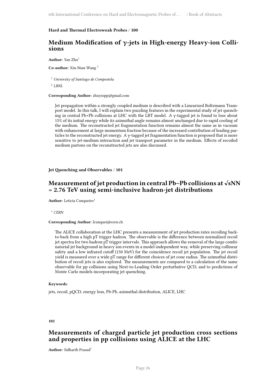#### <span id="page-33-0"></span>**Hard and Thermal Electroweak Probes** / **100**

### **Medium Modification of γ-jets in High-energy Heavy-ion Collisions**

Author: Yan Zhu<sup>1</sup>

**Co-author:** Xin-Nian Wang <sup>2</sup>

<sup>1</sup> *University of Santiago de Compostela*

2 *LBNL*

#### **Corresponding Author:** zhuyiopp@gmail.com

Jet propagation within a strongly coupled medium is described with a Linearized Boltzmann Transport model. In this talk, I will explain two puzzling features in the experimental study of jet quenching in central Pb+Pb collisions at LHC with the LBT model. A γ-tagged jet is found to lose about 15% of its initial energy while its azimuthal angle remains almost unchanged due to rapid cooling of the medium. The reconstructed jet fragmentation function remains almost the same as in vacuum with enhancement at large momentum fraction because of the increased contribution of leading particles to the reconstructed jet energy. A γ-tagged jet fragmentation function is proposed that is more sensitive to jet-medium interaction and jet transport parameter in the medium. Effects of recoiled medium partons on the reconstructed jets are also discussed.

#### <span id="page-33-1"></span>**Jet Quenching and Observables** / **101**

### **Measurement of jet production in central Pb–Pb collisions at √sNN = 2.76 TeV using semi-inclusive hadron-jet distributions**

**Author:** Leticia Cunqueiro<sup>1</sup>

<sup>1</sup> *CERN*

#### **Corresponding Author:** lcunquei@cern.ch

The ALICE collaboration at the LHC presents a measurement of jet production rates recoiling backto-back from a high pT trigger hadron. The observable is the difference between normalized recoil jet spectra for two hadron pT trigger intervals. This approach allows the removal of the large combinatorial jet background in heavy ion events in a model-independent way, while preserving collinear safety and a low infrared cutoff (150 MeV) for the coincidence recoil jet population. The jet recoil yield is measured over a wide pT range for different choices of jet cone radius. The azimuthal distribution of recoil jets is also explored. The measurements are compared to a calculation of the same observable for pp collisions using Next-to-Leading Order perturbative QCD, and to predictions of Monte Carlo models incorporating jet quenching.

#### **Keywords**:

jets, recoil, pQCD, energy loss, Pb-Pb, azimuthal distribution, ALICE, LHC

#### <span id="page-33-2"></span>**102**

### **Measurements of charged particle jet production cross sections and properties in pp collisions using ALICE at the LHC**

**Author:** Sidharth Prasad<sup>1</sup>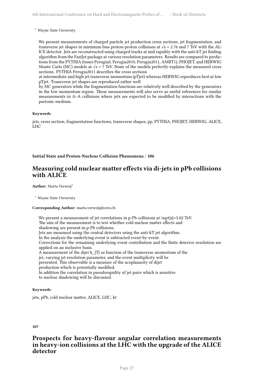<sup>1</sup> *Wayne State University*

We present measurements of charged particle jet production cross sections, jet fragmentation, and transverse jet shapes in minimum bias proton-proton collisions at  $\sqrt{s}$  = 2.76 and 7 TeV with the AL-ICE detector. Jets are reconstructed using charged tracks at mid rapidity with the anti-kT jet finding algorithm from the FastJet package at various resolution parameters. Results are compared to predictions from the PYTHIA (tunes Perugia0, Perugia2010, Perugia2011, AMBT1), PHOJET, and HERWIG Monte Carlo (MC) models at  $\sqrt{s}$  = 7 TeV. None of the models perfectly explains the measured cross sections. PYTHIA Perugia2011 describes the cross sections

at intermediate and high jet transverse momentum (pTjet) whereas HERWIG reproduces best at low pTjet. Transverse jet shapes are reproduced rather well

by MC generators while the fragmentation functions are relatively well described by the generators in the low momentum region. These measurements will also serve as useful references for similar measurements in A–A collisions where jets are expected to be modified by interactions with the partonic medium.

#### **Keywords**:

jets, cross section, fragmentation functions, transverse shapes, pp, PYTHIA, PHOJET, HERWIG, ALICE, LHC

#### **Initial State and Proton-Nucleus Collision Phenomena** / **106**

### **Measuring cold nuclear matter effects via di-jets in pPb collisions with ALICE**

**Author:** Marta Verweij<sup>1</sup>

<sup>1</sup> *Wayne State University*

#### **Corresponding Author:** marta.verweij@cern.ch

We present a measurement of jet correlations in p-Pb collisions at  $\sqrt{s}$ =5.02 TeV. The aim of the measurement is to test whether cold nuclear matter effects and shadowing are present in p-Pb collisions. Jets are measured using the central detectors using the anti-kT jet algorithm. In the analysis the underlying event is subtracted event-by-event. Corrections for the remaining underlying event contribution and the finite detector resolution are applied on an inclusive basis. A measurement of the dijet  $k_{T}$  as function of the transverse momentum of the jet, varying jet resolution parameter, and the event multiplicity will be presented. This observable is a measure of the acoplanarity of dijet production which is potentially modified. In addition the correlation in pseudorapidity of jet pairs which is sensitive to nuclear shadowing will be discussed.

#### **Keywords**:

jets, pPb, cold nuclear matter, ALICE, LHC, kt

#### <span id="page-34-0"></span>**107**

### **Prospects for heavy-flavour angular correlation measurements in heavy-ion collisions at the LHC with the upgrade of the ALICE detector**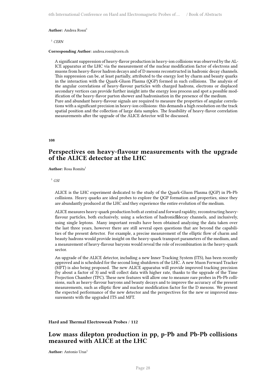#### **Author:** Andrea Rossi<sup>1</sup>

<sup>1</sup> *CERN*

#### **Corresponding Author:** andrea.rossi@cern.ch

A significant suppression of heavy-flavor production in heavy-ion collisions was observed by the AL-ICE apparatus at the LHC via the measurement of the nuclear modification factor of electrons and muons from heavy-flavor hadron decays and of D mesons reconstructed in hadronic decay channels. This suppression can be, at least partially, attributed to the energy lost by charm and beauty quarks in the interaction with the Quark-Gluon Plasma (QGP) formed in such collisions. The analysis of the angular correlations of heavy-flavour particles with charged hadrons, electrons or displaced secondary vertices can provide further insight into the energy loss process and spot a possible modification of the heavy-flavor parton shower and hadronisation in the presence of the medium. Pure and abundant heavy-flavour signals are required to measure the properties of angular correlations with a significant precision in heavy-ion collisions: this demands a high resolution on the track spatial position and the collection of large data samples. The feasibility of heavy-flavor correlation measurements after the upgrade of the ALICE detector will be discussed.

<span id="page-35-0"></span>**108**

### **Perspectives on heavy-flavour measurements with the upgrade of the ALICE detector at the LHC**

**Author:** Rosa Romita<sup>1</sup>

<sup>1</sup> *GSI*

ALICE is the LHC experiment dedicated to the study of the Quark-Gluon Plasma (QGP) in Pb-Pb collisions. Heavy quarks are ideal probes to explore the QGP formation and properties, since they are abundantly produced at the LHC and they experience the entire evolution of the medium.

ALICE measures heavy-quark production both at central and forward rapidity, reconstructing heavyflavour particles, both exclusively, using a selection of hadronic decay channels, and inclusively, using single leptons. Many important results have been obtained analyzing the data taken over the last three years, however there are still several open questions that are beyond the capabilities of the present detector. For example, a precise measurement of the elliptic flow of charm and beauty hadrons would provide insight on the heavy-quark transport parameters of the medium, and a measurement of heavy-flavour baryons would reveal the role of recombination in the heavy-quark sector.

An upgrade of the ALICE detector, including a new Inner Tracking System (ITS), has been recently approved and is scheduled for the second long shutdown of the LHC. A new Muon Forward Tracker (MFT) is also being proposed. The new ALICE apparatus will provide improved tracking precision (by about a factor of 3) and will collect data with higher rate, thanks to the upgrade of the Time Projection Chamber (TPC). These new features will allow one to measure rare probes in Pb-Pb collisions, such as heavy-flavour baryons and beauty decays and to improve the accuracy of the present measurements, such as elliptic flow and nuclear modification factor for the D mesons. We present the expected performance of the new detector and the perspectives for the new or improved measurements with the upgraded ITS and MFT.

#### <span id="page-35-1"></span>**Hard and Thermal Electroweak Probes** / **112**

### **Low mass dilepton production in pp, p-Pb and Pb-Pb collisions measured with ALICE at the LHC**

**Author:** Antonio Uras<sup>1</sup>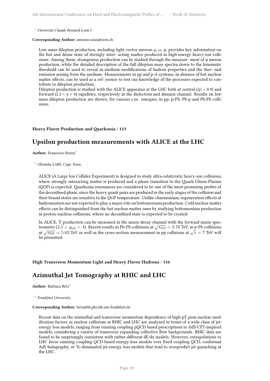<sup>1</sup> *Universite Claude Bernard-Lyon I*

**Corresponding Author:** antonio.uras@cern.ch

Low mass dilepton production, including light vector mesons ρ, ω, φ, provides key information on the hot and dense state of strongly inter- acting matter produced in high-energy heavy-ion collisions. Among them, strangeness production can be studied through the measure- ment of φ meson production, while the detailed description of the full dilepton mass spectra down to the kinematic threshold can be used to reveal in-medium modifications of hadron properties and the ther- mal emission arising from the medium. Measurements in pp and p-A systems, in absence of hot nuclear matter effects, can be used as a ref- erence to test our knowledge of the processes expected to contribute to dilepton production.

Dilepton production is studied with the ALICE apparatus at the LHC both at central ( $|y|$  < 0.9) and forward (2.5 < y < 4) rapidities, respectively in the dielectron and dimuon channel. Results on low mass dilepton production are shown, for various c.m. energies, in pp, p-Pb, Pb-p and Pb-Pb collisions.

#### <span id="page-36-0"></span>**Heavy Flavor Production and Quarkonia** / **113**

### **Upsilon production measurements with ALICE at the LHC**

**Author:** Francesco Bossu<sup>1</sup>

1 *iThemba LABS, Cape Town*

ALICE (A Large Ion Collider Experiment) is designed to study ultra-relativistic heavy-ion collisions, where strongly interacting matter is produced and a phase transition to the Quark Gluon-Plasma (QGP) is expected. Quarkonia resonances are considered to be one of the most promising probes of the deconfined phase, since the heavy quark pairs are produced in the early stages of the collision and their bound states are sensitive to the QGP temperature. Unlike charmonium, regeneration effects at hadronisation are not expected to play a major role on bottomonium production. Cold nuclear matter effects can be distinguished from the hot nuclear matter ones by studying bottomonium production in proton-nucleus collisions, where no deconfined state is expected to be created.

In ALICE, Υ production can be measured in the muon decay channel with the forward muon spectrometer (2.5 <  $y_{\text{lab}}$  < 4). Recent results in Pb-Pb collisions at  $\sqrt{s_{\text{NN}}}$  = 2.76 TeV, in p-Pb collisions at  $\sqrt{s_{NN}}$  = 5.02 TeV as well as the cross-section measurement in pp collisions at  $\sqrt{s}$  = 7 TeV will be presented.

#### <span id="page-36-1"></span>**High Transverse Momentum Light and Heavy Flavor Hadrons** / **116**

### **Azimuthal Jet Tomography at RHIC and LHC**

**Author:** Barbara Betz<sup>1</sup>

1 *Frankfurt University*

#### **Corresponding Author:** betz@th.physik.uni-frankfurt.de

Recent data on the azimuthal and transverse momentum dependence of high-pT pion nuclear modification factors in nuclear collisions at RHIC and LHC are analyzed in terms of a wide class of jetenergy loss models, ranging from running coupling pQCD based prescriptions to AdS/CFT-inspired models, considering a variety of transverse expanding collective flow backgrounds. RHIC data are found to be surprisingly consistent with rather different dE/dx models. However, extrapolations to LHC favor running coupling QCD based energy-loss models over fixed coupling QCD, conformal AdS holography, or Tc-dominated jet-energy loss models that tend to overpredict jet quenching at the LHC.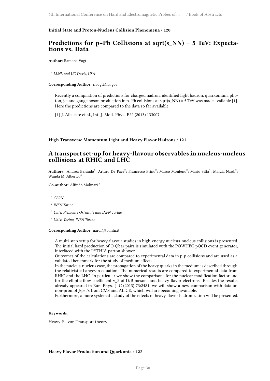#### <span id="page-37-0"></span>**Initial State and Proton-Nucleus Collision Phenomena** / **120**

### **Predictions for p+Pb Collisions at sqrt(s\_NN) = 5 TeV: Expectations vs. Data**

Author: Ramona Vogt<sup>1</sup>

1 *LLNL and UC Davis, USA*

**Corresponding Author:** rlvogt@lbl.gov

Recently a compilation of predictions for charged hadron, identified light hadron, quarkonium, photon, jet and gauge boson production in p+Pb collisions at sqrt(s\_NN) = 5 TeV was made available [1]. Here the predictions are compared to the data so far available.

[1] J. Albacete et al., Int. J. Mod. Phys. E22 (2013) 133007.

#### <span id="page-37-1"></span>**High Transverse Momentum Light and Heavy Flavor Hadrons** / **121**

### **A transport set-up for heavy-flavour observables in nucleus-nucleus collisions at RHIC and LHC**

Authors: Andrea Beraudo<sup>1</sup>; Arturo De Pace<sup>2</sup>; Francesco Prino<sup>2</sup>; Marco Monteno<sup>2</sup>; Mario Sitta<sup>3</sup>; Marzia Nardi<sup>2</sup>; Wanda M. Alberico<sup>4</sup>

**Co-author:** Alfredo Molinari <sup>4</sup>

<sup>1</sup> *CERN*

- 2 *INFN Torino*
- <sup>3</sup> *Univ. Piemonte Orientale and INFN Torino*
- <sup>4</sup> *Univ. Torino, INFN Torino*

**Corresponding Author:** nardi@to.infn.it

A multi-step setup for heavy-flavour studies in high-energy nucleus-nucleus collisions is presented. The initial hard production of Q-Qbar pairs is simulated with the POWHEG pQCD event generator, interfaced with the PYTHIA parton shower.

Outcomes of the calculations are compared to experimental data in p-p collisions and are used as a validated benchmark for the study of medium effects.

In the nucleus-nucleus case, the propagation of the heavy quarks in the medium is described through the relativistic Langevin equation. The numerical results are compared to experimental data from RHIC and the LHC. In particular we show the comparisons for the nuclear modification factor and for the elliptic flow coefficient v\_2 of D/B mesons and heavy-flavor electrons. Besides the results already appeared in Eur. Phys. J. C (2013) 73:2481, we will show a new comparison with data on non-prompt J/psi's from CMS and ALICE, which will are becoming available.

Furthermore, a more systematic study of the effects of heavy-flavor hadronization will be presented.

#### **Keywords**:

Heavy-Flavor, Transport theory

#### <span id="page-37-2"></span>**Heavy Flavor Production and Quarkonia** / **122**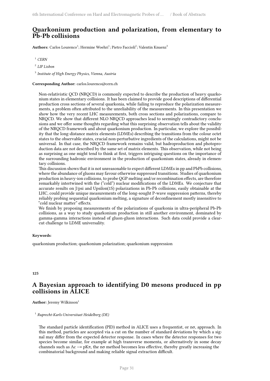### **Quarkonium production and polarization, from elementary to Pb-Pb collisions**

 $\mathbf{Authors:}$  Carlos Lourenco<sup>1</sup>; Hermine Woehri<sup>1</sup>; Pietro Faccioli<sup>2</sup>; Valentin Knuenz<sup>3</sup>

<sup>1</sup> *CERN*

2 *LIP Lisbon*

3 *Institute of High Energy Physics, Vienna, Austria*

#### **Corresponding Author:** carlos.lourenco@cern.ch

Non-relativistic QCD (NRQCD) is commonly expected to describe the production of heavy quarkonium states in elementary collisions. It has been claimed to provide good descriptions of differential production cross sections of several quarkonia, while failing to reproduce the polarization measurements, a problem often attributed to the unreliability of the measurements. In this presentation we show how the very recent LHC measurements, both cross sections and polarizations, compare to NRQCD. We show that different NLO NRQCD approaches lead to seemingly contradictory conclusions and we offer some thoughts regarding what this surprising observation tells about the validity of the NRQCD framework and about quarkonium production. In particular, we explore the possibility that the long-distance matrix elements (LDMEs) describing the transitions from the colour octet states to the observable states, crucial non-perturbative ingredients of the calculations, might not be universal. In that case, the NRQCD framework remains valid, but hadroproduction and photoproduction data are not described by the same set of matrix elements. This observation, while not being as surprising as one might tend to think at first, triggers intriguing questions on the importance of the surrounding hadronic environment in the production of quarkonium states, already in elementary collisions.

This discussion shows that it is not unreasonable to expect different LDMEs in pp and PbPb collisions, where the abundance of gluons may favour otherwise suppressed transitions. Studies of quarkonium production in heavy-ion collisions, to probe QGP melting and/or recombination effects, are therefore remarkably intertwined with the ("cold") nuclear modifications of the LDMEs. We conjecture that accurate results on J/psi and Upsilon(1S) polarizations in Pb-Pb collisions, easily obtainable at the LHC, could provide unique measurements of the long-sought P-wave suppression patterns, thereby reliably probing sequential quarkonium melting, a signature of deconfinement mostly insensitive to "cold nuclear matter" effects.

We finish by proposing measurements of the polarizations of quarkonia in ultra-peripheral Pb-Pb collisions, as a way to study quarkonium production in still another environment, dominated by gamma-gamma interactions instead of gluon-gluon interactions. Such data could provide a clearcut challenge to LDME universality.

#### **Keywords**:

quarkonium production; quarkonium polarization; quarkonium suppression

#### <span id="page-38-0"></span>**125**

### **A Bayesian approach to identifying D0 mesons produced in pp collisions in ALICE**

**Author:** Jeremy Wilkinson<sup>1</sup>

1 *Ruprecht-Karls-Universitaet Heidelberg (DE)*

The standard particle identification (PID) method in ALICE uses a frequentist, or nσ, approach. In this method, particles are accepted via a cut on the number of standard deviations by which a signal may differ from the expected detector response. In cases where the detector responses for two species become similar, for example at high transverse momenta, or alternatively in some decay channels such as  $\Lambda$ c  $\rightarrow$  pK $\pi$ , the n $\sigma$  method becomes less effective, thereby greatly increasing the combinatorial background and making reliable signal extraction difficult.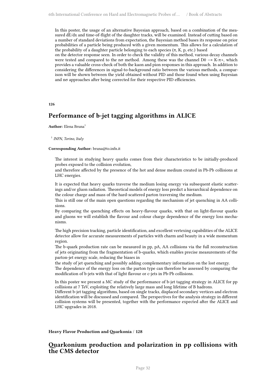In this poster, the usage of an alternative Bayesian approach, based on a combination of the measured dE/dx and time-of-flight of the daughter tracks, will be examined. Instead of cutting based on a number of standard deviations from expectation, the Bayesian method bases its response on prior probabilities of a particle being produced with a given momentum. This allows for a calculation of the probability of a daughter particle belonging to each species  $(\pi, K, p, \text{etc.})$  based

on the detector response seen. In order to check the validity of this method, various decay channels were tested and compared to the n $\sigma$  method. Among these was the channel D0  $\rightarrow$  K- $\pi$ +, which provides a valuable cross-check of both the kaon and pion responses in this approach. In addition to considering the differences in signal-to-background ratio between the various methods, a comparison will be shown between the yield obtained without PID and those found when using Bayesian and nσ approaches after being corrected for their respective PID efficiencies.

#### <span id="page-39-0"></span>**126**

### **Performance of b-jet tagging algorithms in ALICE**

Author: Elena Bruna<sup>1</sup>

1 *INFN, Torino, Italy*

#### **Corresponding Author:** bruna@to.infn.it

The interest in studying heavy quarks comes from their characteristics to be initially-produced probes exposed to the collision evolution,

and therefore affected by the presence of the hot and dense medium created in Pb-Pb collisions at LHC energies.

It is expected that heavy quarks traverse the medium losing energy via subsequent elastic scatterings and/or gluon radiation. Theoretical models of energy loss predict a hierarchical dependence on the colour charge and mass of the hard-scattered parton traversing the medium.

This is still one of the main open questions regarding the mechanism of jet quenching in AA collisions.

By comparing the quenching effects on heavy-flavour quarks, with that on light-flavour quarks and gluons we will establish the flavour and colour charge dependence of the energy loss mechanisms.

The high precision tracking, particle identification, and excellent vertexing capabilities of the ALICE detector allow for accurate measurements of particles with charm and beauty in a wide momentum region.

The b-quark production rate can be measured in pp, pA, AA collisions via the full reconstruction of jets originating from the fragmentation of b-quarks, which enables precise measurements of the parton-jet energy scale, reducing the biases in

the study of jet quenching and possibly adding complementary information on the lost energy.

The dependence of the energy loss on the parton type can therefore be assessed by comparing the modification of b-jets with that of light flavour or c-jets in Pb-Pb collisions.

In this poster we present a MC study of the performance of b-jet tagging strategy in ALICE for pp collisions at 7 TeV, exploiting the relatively large mass and long lifetime of B hadrons.

Different b-jet tagging algorithms, based on single tracks, displaced secondary vertices and electron identification will be discussed and compared. The perspectives for the analysis strategy in different collision systems will be presented, together with the performance expected after the ALICE and LHC upgrades in 2018.

<span id="page-39-1"></span>**Heavy Flavor Production and Quarkonia** / **128**

### **Quarkonium production and polarization in pp collisions with the CMS detector**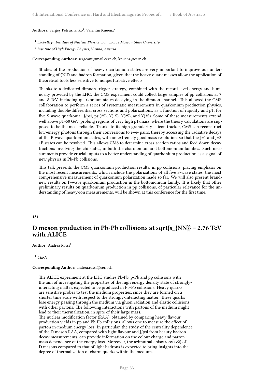#### Authors: Sergey Petrushanko<sup>1</sup>; Valentin Knuenz<sup>2</sup>

- <sup>1</sup> Skobeltsyn Institute of Nuclear Physics, Lomonosov Moscow State University
- 2 *Institute of High Energy Physics, Vienna, Austria*

**Corresponding Authors:** sergeant@mail.cern.ch, knuenz@cern.ch

Studies of the production of heavy quarkonium states are very important to improve our understanding of QCD and hadron formation, given that the heavy quark masses allow the application of theoretical tools less sensitive to nonperturbative effects.

Thanks to a dedicated dimuon trigger strategy, combined with the record-level energy and luminosity provided by the LHC, the CMS experiment could collect large samples of pp collisions at 7 and 8 TeV, including quarkonium states decaying in the dimuon channel. This allowed the CMS collaboration to perform a series of systematic measurements in quarkonium production physics, including double-differential cross sections and polarizations, as a function of rapidity and pT, for five S-wave quarkonia: J/psi, psi(2S), Y(1S), Y(2S), and Y(3S). Some of these measurements extend well above pT~50 GeV, probing regions of very high pT/mass, where the theory calculations are supposed to be the most reliable. Thanks to its high-granularity silicon tracker, CMS can reconstruct low-energy photons through their conversions to e+e- pairs, thereby accessing the radiative decays of the P-wave quarkonium states, with an extremely good mass resolution, so that the  $J=1$  and  $J=2$ 1P states can be resolved. This allows CMS to determine cross-section ratios and feed-down decay fractions involving the chi states, in both the charmonium and bottomonium families. Such measurements provide crucial inputs to a better understanding of quarkonium production as a signal of new physics in Pb-Pb collisions.

This talk presents the CMS quarkonium production results, in pp collisions, placing emphasis on the most recent measurements, which include the polarizations of all five S-wave states, the most comprehensive measurement of quarkonium polarization made so far. We will also present brandnew results on P-wave quarkonium production in the bottomonium family. It is likely that other preliminary results on quarkonium production in pp collisions, of particular relevance for the understanding of heavy-ion measurements, will be shown at this conference for the first time.

#### <span id="page-40-0"></span>**131**

### **D meson production in Pb-Pb collisions at sqrt{s\_{NN}} = 2.76 TeV with ALICE**

Author: Andrea Rossi<sup>1</sup>

<sup>1</sup> *CERN*

#### **Corresponding Author:** andrea.rossi@cern.ch

The ALICE experiment at the LHC studies Pb-Pb, p-Pb and pp collisions with the aim of investigating the properties of the high energy density state of stronglyinteracting matter, expected to be produced in Pb-Pb collisions. Heavy quarks are sensitive probes to test the medium properties, since they are formed on a shorter time scale with respect to the strongly-interacting matter. These quarks lose energy passing through the medium via gluon radiation and elastic collisions with other partons. The following interactions with partons of the medium might lead to their thermalization, in spite of their large mass. The nuclear modification factor (RAA), obtained by comparing heavy flavour production yields in pp and Pb-Pb collisions, allows one to measure the effect of parton in-medium energy loss. In particular, the study of the centrality dependence

of the D meson RAA, compared with light flavour and J/psi from beauty hadron decay measurements, can provide information on the colour charge and parton mass dependence of the energy loss. Moreover, the azimuthal anisotropy (v2) of D mesons compared to that of light hadrons is expected to bring insights into the degree of thermalization of charm quarks within the medium.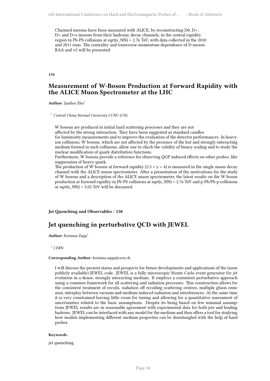Charmed mesons have been measured with ALICE, by reconstructing D0, D+, D+ and D+s mesons from their hadronic decay channels, in the central rapidity region in Pb-Pb collisions at sqrt(s\_NN) = 2.76 TeV, with data collected in the 2010 and 2011 runs. The centrality and transverse momentum dependence of D meson RAA and v2 will be presented.

<span id="page-41-0"></span>**134**

### **Measurement of W-Boson Production at Forward Rapidity with the ALICE Muon Spectrometer at the LHC**

Author: Jianhui Zhu<sup>1</sup>

<sup>1</sup> *Central China Normal University CCNU (CN)*

W bosons are produced in initial hard scattering processes and they are not

affected by the strong interaction. They have been suggested as standard candles

for luminosity measurements and to improve the evaluation of the detector performances. In heavyion collisions, W bosons, which are not affected by the presence of the hot and strongly-interacting medium formed in such collisions, allow one to check the validity of binary scaling and to study the nuclear modification of quark distribution functions.

Furthermore, W bosons provide a reference for observing QGP induced effects on other probes, like suppression of heavy quark.

The production of W bosons at forward rapidity  $(2.5 < y < 4)$  is measured in the single muon decay channel with the ALICE muon spectrometer. After a presentation of the motivations for the study of W bosons and a description of the ALICE muon spectrometer, the latest results on the W boson production at forward rapidity in Pb-Pb collisions at sqrt(s\_NN) = 2.76 TeV and p-Pb/Pb-p collisions at sqrt $(s_NN) = 5.02$  TeV will be discussed.

<span id="page-41-1"></span>**Jet Quenching and Observables** / **138**

### **Jet quenching in perturbative QCD with JEWEL**

**Author:** Korinna Zapp<sup>1</sup>

<sup>1</sup> *CERN*

#### **Corresponding Author:** korinna.zapp@cern.ch

I will discuss the present status and prospects for future developments and applications of the (soon publicly available) JEWEL code. JEWEL is a fully microscopic Monte Carlo event generator for jet evolution in a dense, strongly interacting medium. It employs a consistent perturbative approach using a common framework for all scattering and radiation processes. This construction allows for the consistent treatment of recoils, radiation off recoiling scattering centres, multiple gluon emission, interplay between vacuum and medium induced radiation and interferences. At the same time it is very constrained leaving little room for tuning and allowing for a quantitative assessment of uncertainties related to the basic assumptions. Despite its being based on few minimal assumptions JEWEL results are in reasonable agreement with experimental data for both jets and leading hadrons. JEWEL can be interfaced with any model for the medium and thus offers a tool for studying how models implementing different medium properties can be disentangled with the help of hard probes.

#### **Keywords**:

jet quenching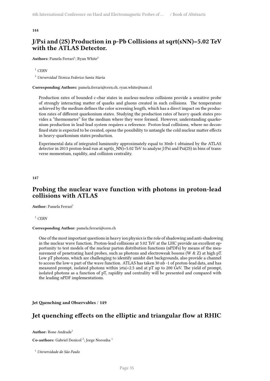#### **144**

### **J/Psi and (2S) Production in p-Pb Collisions at sqrt(sNN)=5.02 TeV with the ATLAS Detector.**

Authors: Pamela Ferrari<sup>1</sup>; Ryan White<sup>2</sup>

#### <sup>1</sup> *CERN*

<sup>2</sup> *Universidad Técnica Federico Santa María*

**Corresponding Authors:** pamela.ferrari@cern.ch, ryan.white@usm.cl

Production rates of bounded c-cbar states in nucleus-nucleus collisions provide a sensitive probe of strongly interacting matter of quarks and gluons created in such collisions. The temperature achieved by the medium defines the color screening length, which has a direct impact on the production rates of different quarkonium states. Studying the production rates of heavy quark states provides a "thermometer" for the medium where they were formed. However, understanding quarkonium production in lead-lead system requires a reference. Proton-lead collisions, where no deconfined state is expected to be created, opens the possibility to untangle the cold nuclear matter effects in heavy-quarkonium states production.

Experimental data of integrated luminosity approximately equal to 30nb-1 obtained by the ATLAS detector in 2013 proton-lead run at sqrt(s\_NN)=5.02 TeV to analyse J/Psi and Psi(2S) in bins of transverse momentum, rapidity, and collision centrality.

<span id="page-42-0"></span>**147**

### **Probing the nuclear wave function with photons in proton-lead collisions with ATLAS**

**Author:** Pamela Ferrari<sup>1</sup>

<sup>1</sup> *CERN*

#### **Corresponding Author:** pamela.ferrari@cern.ch

One of the most important questions in heavy ion physics is the role of shadowing and anti-shadowing in the nuclear wave function. Proton-lead collisions at 5.02 TeV at the LHC provide an excellent opportunity to test models of the nuclear parton distribution functions (nPDFs) by means of the measurement of penetrating hard probes, such as photons and electroweak bosons (W & Z) at high pT. Low pT photons, which are challenging to identify amidst diet backgrounds, also provide a channel to access the low-x part of the wave function. ATLAS has taken 30 nb -1 of proton-lead data, and has measured prompt, isolated photons within |eta|<2.5 and at pT up to 200 GeV. The yield of prompt, isolated photons as a function of pT, rapidity and centrality will be presented and compared with the leading nPDF implementations.

<span id="page-42-1"></span>**Jet Quenching and Observables** / **149**

### **Jet quenching effects on the elliptic and triangular flow at RHIC**

Author: Rone Andrade<sup>1</sup>

**Co-authors:** Gabriel Denicol<sup>2</sup>; Jorge Noronha<sup>1</sup>

<sup>1</sup> *Universidade de São Paulo*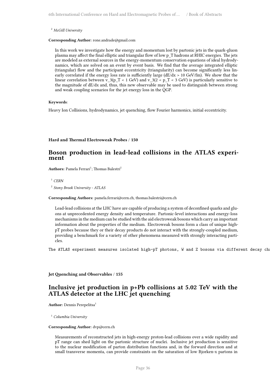<sup>2</sup> *McGill University*

**Corresponding Author:** rone.andrade@gmail.com

In this work we investigate how the energy and momentum lost by partonic jets in the quark-gluon plasma may affect the final elliptic and triangular flow of low p\_T hadrons at RHIC energies. The jets are modeled as external sources in the energy-momentum conservation equations of ideal hydrodynamics, which are solved on an event by event basis. We find that the average integrated elliptic (triangular) flow and the participant eccentricity (triangularity) can become significantly less linearly correlated if the energy loss rate is sufficiently large  $(dE/dx > 10 \text{ GeV/fm})$ . We show that the linear correlation between v\_3(p\_T < 1 GeV) and v\_3(2 < p\_T < 3 GeV) is particularly sensitive to the magnitude of dE/dx and, thus, this new observable may be used to distinguish between strong and weak coupling scenarios for the jet energy loss in the QGP.

#### **Keywords**:

Heavy Ion Collisions, hydrodynamics, jet quenching, flow Fourier harmonics, initial eccentricity.

#### <span id="page-43-0"></span>**Hard and Thermal Electroweak Probes** / **150**

### **Boson production in lead-lead collisions in the ATLAS experiment**

Authors: Pamela Ferrari<sup>1</sup>; Thomas Balestri<sup>2</sup>

<sup>1</sup> *CERN*

2 *Stony Brook University - ATLAS*

#### **Corresponding Authors:** pamela.ferrari@cern.ch, thomas.balestri@cern.ch

Lead-lead collisions at the LHC have are capable of producing a system of deconfined quarks and gluons at unprecedented energy density and temperature. Partonic-level interactions and energy-loss mechanisms in the medium can be studied with the aid electroweak bosons which carry an important information about the properties of the medium. Electroweak bosons form a class of unique highpT probes because they or their decay products do not interact with the strongly-coupled medium, providing a benchmark for a variety of other phenomena measured with strongly interacting particles.

The ATLAS experiment measures isolated high-pT photons, W and Z bosons via different decay ch

<span id="page-43-1"></span>**Jet Quenching and Observables** / **155**

### **Inclusive jet production in p+Pb collisions at 5.02 TeV with the ATLAS detector at the LHC jet quenching**

**Author:** Dennis Perepelitsa<sup>1</sup>

<sup>1</sup> *Columbia University*

#### **Corresponding Author:** dvp@cern.ch

Measurements of reconstructed jets in high-energy proton-lead collisions over a wide rapidity and pT range can shed light on the partonic structure of nuclei. Inclusive jet production is sensitive to the nuclear modification of parton distribution functions and, in the forward direction and at small transverse momenta, can provide constraints on the saturation of low Bjorken-x partons in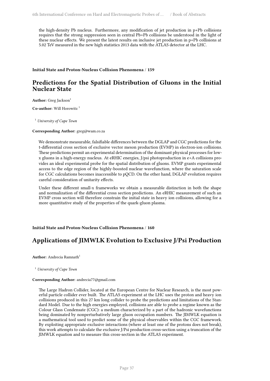the high-density Pb nucleus. Furthermore, any modification of jet production in p+Pb collisions requires that the strong suppression seen in central Pb+Pb collisions be understood in the light of these nuclear effects. We present the latest results on inclusive jet production in p+Pb collisions at 5.02 TeV measured in the new high statistics 2013 data with the ATLAS detector at the LHC.

#### <span id="page-44-0"></span>**Initial State and Proton-Nucleus Collision Phenomena** / **159**

### **Predictions for the Spatial Distribution of Gluons in the Initial Nuclear State**

**Author:** Greg Jackson<sup>1</sup>

**Co-author:** Will Horowitz <sup>1</sup>

<sup>1</sup> *University of Cape Town*

#### **Corresponding Author:** greg@wam.co.za

We demonstrate measurable, falsifiable differences between the DGLAP and CGC predictions for the t-differential cross section of exclusive vector meson production (EVMP) in electron-ion collisions. These predictions permit an experimental determination of the dominant physical processes for lowx gluons in a high-energy nucleus. At eRHIC energies, J/psi photoproduction in e+A collisions provides an ideal experimental probe for the spatial distribution of gluons. EVMP grants experimental access to the edge region of the highly-boosted nuclear wavefunction, where the saturation scale for CGC calculations becomes inaccessible to pQCD. On the other hand, DGLAP evolution requires careful consideration of unitarity effects.

Under these different small-x frameworks we obtain a measurable distinction in both the shape and normalization of the differential cross section predictions. An eRHIC measurement of such an EVMP cross section will therefore constrain the initial state in heavy ion collisions, allowing for a more quantitative study of the properties of the quark-gluon plasma.

#### <span id="page-44-1"></span>**Initial State and Proton-Nucleus Collision Phenomena** / **160**

### **Applications of JIMWLK Evolution to Exclusive J/Psi Production**

**Author:** Andrecia Ramnath<sup>1</sup>

<sup>1</sup> *University of Cape Town*

#### **Corresponding Author:** andrecia77@gmail.com

<span id="page-44-2"></span>The Large Hadron Collider, located at the European Centre for Nuclear Research, is the most powerful particle collider ever built. The ATLAS experiment at the LHC uses the proton and heavy ion collisions produced in this 27 km long collider to probe the predictions and limitations of the Standard Model. Due to the high energies employed, collisions are able to probe a regime known as the Colour Glass Condensate (CGC): a medium characterized by a part of the hadronic wavefunctions being dominated by nonperturbatively large gluon occupation numbers. The JIMWLK equation is a mathematical tool used to predict some of the physical observables within the CGC framework. By exploiting appropriate exclusive interactions (where at least one of the protons does not break), this work attempts to calculate the exclusive J/Psi production cross-section using a truncation of the JIMWLK equation and to measure this cross-section in the ATLAS experiment.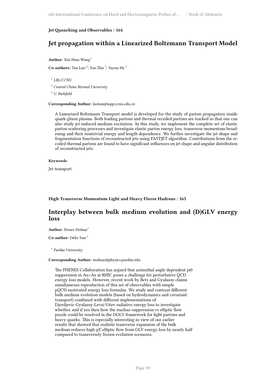#### **Jet Quenching and Observables** / **164**

### **Jet propagation within a Linearized Boltzmann Transport Model**

**Author:** Xin-Nian Wang<sup>1</sup>

**Co-authors:** Tan Luo<sup>2</sup>; Yan Zhu<sup>3</sup>; Yayun He<sup>2</sup>

1 *LBL/CCNU*

<sup>2</sup> *Central China Normal University*

<sup>3</sup> *U. Bielefeld*

**Corresponding Author:** luotan@iopp.ccnu.edu.cn

A Linearized Boltzmann Transport model is developed for the study of parton propagation inside quark-gluon plasma. Both leading partons and thermal recoiled partons are tracked so that one can also study jet-induced medium excitation. In this study, we implement the complete set of elastic parton scattering processes and investigate elastic parton energy loss, transverse momentum broadening and their nontrivial energy and length dependence. We further investigate the jet shape and fragmentation functions of reconstructed jets using FASTJET algorithm. Contributions from the recoiled thermal partons are found to have significant influences on jet shape and angular distribution of reconstructed jets.

#### **Keywords**:

Jet transport

<span id="page-45-0"></span>**High Transverse Momentum Light and Heavy Flavor Hadrons** / **165**

### **Interplay between bulk medium evolution and (D)GLV energy loss**

Author: Denes Molnar<sup>1</sup>

**Co-author:** Deke Sun<sup>1</sup>

1 *Purdue University*

#### **Corresponding Author:** molnar@physics.purdue.edu

<span id="page-45-1"></span>The PHENIX Collaboration has argued that azimuthal angle dependent pi0 suppression in Au+Au at RHIC poses a challenge for perturbative QCD energy loss models. However, recent work by Betz and Gyulassy claims simultaneous reproduction of this set of observables with simple pQCD-motivated energy loss formulas. We study and contrast different bulk medium evolution models (based on hydrodynamics and covariant transport) combined with different implementations of Djordjevic-Gyulassy-Levai-Vitev radiative energy loss to investigate whether, and if yes then how the nuclear-suppression vs elliptic flow puzzle could be resolved in the DGLV framework for light partons and heavy quarks. This is especially interesting in view of our earlier results that showed that realistic transverse expansion of the bulk medium reduces high-pT elliptic flow from GLV energy loss by nearly half compared to transversely frozen evolution scenarios.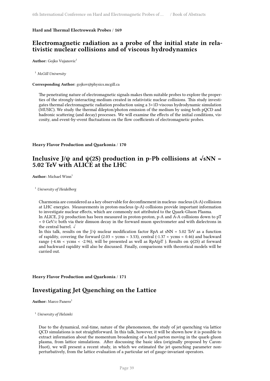#### **Hard and Thermal Electroweak Probes** / **169**

### **Electromagnetic radiation as a probe of the initial state in relativistic nuclear collisions and of viscous hydrodynamics**

**Author:** Gojko Vujanovic<sup>1</sup>

<sup>1</sup> *McGill University*

**Corresponding Author:** gojkov@physics.mcgill.ca

The penetrating nature of electromagnetic signals makes them suitable probes to explore the properties of the strongly-interacting medium created in relativistic nuclear collisions. This study investigates thermal electromagnetic radiation production using a 3+1D viscous hydrodynamic simulation (MUSIC). We study the thermal dilepton/photon emission of the medium by using both pQCD and hadronic scattering (and decay) processes. We will examine the effects of the initial conditions, viscosity, and event-by-event fluctuations on the flow coefficients of electromagnetic probes.

<span id="page-46-0"></span>**Heavy Flavor Production and Quarkonia** / **170**

### Inclusive J/ψ and  $\psi$ (2S) production in p-Pb collisions at  $\sqrt{sNN}$  = **5.02 TeV with ALICE at the LHC**

**Author:** Michael Winn<sup>1</sup>

<sup>1</sup> *University of Heidelberg*

Charmonia are considered as a key observable for deconfinement in nucleus- nucleus (A-A) collisions at LHC energies. Measurements in proton-nucleus (p-A) collisions provide important information to investigate nuclear effects, which are commonly not attributed to the Quark-Gluon Plasma.

In ALICE, J/ψ production has been measured in proton-proton, p-A and A-A collisions down to pT = 0 GeV/c both via their dimuon decay in the forward muon spectrometer and with dielectrons in the central barrel. √

In this talk, results on the J/ $\psi$  nuclear modification factor RpA at sNN = 5.02 TeV as a function of rapidity, covering the forward (2.03 < ycms < 3.53), central (-1.37 < ycms < 0.46) and backward range (-4.46 < ycms < -2.96), will be presented as well as RpA(pT). Results on  $\psi(2S)$  at forward and backward rapidity will also be discussed. Finally, comparisons with theoretical models will be carried out.

<span id="page-46-1"></span>**Heavy Flavor Production and Quarkonia** / **171**

### **Investigating Jet Quenching on the Lattice**

**Author:** Marco Panero<sup>1</sup>

<sup>1</sup> *University of Helsinki*

Due to the dynamical, real-time, nature of the phenomenon, the study of jet quenching via lattice QCD simulations is not straightforward. In this talk, however, it will be shown how it is possible to extract information about the momentum broadening of a hard parton moving in the quark-gluon plasma, from lattice simulations. After discussing the basic idea (originally proposed by Caron-Huot), we will present a recent study, in which we estimated the jet quenching parameter nonperturbatively, from the lattice evaluation of a particular set of gauge-invariant operators.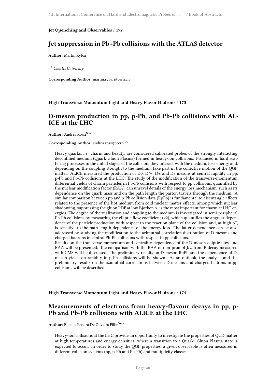#### <span id="page-47-0"></span>**Jet Quenching and Observables** / **172**

### **Jet suppression in Pb+Pb collisions with the ATLAS detector**

**Author:** Martin Rybar<sup>1</sup>

<sup>1</sup> *Charles University*

**Corresponding Author:** martin.rybar@cern.ch

<span id="page-47-1"></span>**High Transverse Momentum Light and Heavy Flavor Hadrons** / **173**

### **D-meson production in pp, p-Pb, and Pb-Pb collisions with AL-ICE at the LHC**

**Author:** Andrea Rossi<sup>None</sup>

#### **Corresponding Author:** andrea.rossi@cern.ch

Heavy quarks, i.e. charm and beauty, are considered calibrated probes of the strongly interacting deconfined medium (Quark Gluon Plasma) formed in heavy-ion collisions. Produced in hard scattering processes in the initial stages of the collision, they interact with the medium, lose energy and, depending on the coupling strength to the medium, take part in the collective motion of the QGP matter. ALICE measured the production of D0,  $D^*$ +,  $D$ + and Ds mesons at central rapidity in pp, p-Pb and Pb-Pb collisions at the LHC. The study of the modification of the transverse-momentum differential yields of charm particles in Pb-Pb collisions with respect to pp collisions, quantified by the nuclear modification factor (RAA), can unravel details of the energy loss mechanism, such as its dependence on the quark mass and on the path length the parton travels through the medium. A similar comparison between pp and p-Pb collision data (RpPb) is fundamental to disentangle effects related to the presence of the hot medium from cold nuclear matter effects, among which nuclear shadowing, suppressing the gluon PDF at low Bjorken-x, is the most important for charm at LHC energies. The degree of thermalization and coupling to the medium is investigated in semi-peripheral Pb-Pb collisions by measuring the elliptic flow coefficient (v2), which quantifies the angular dependence of the particle production with respect to the reaction plane of the collision and, at high pT, is sensitive to the path-length dependence of the energy loss. The latter dependence can be also addressed by studying the modification to the azimuthal correlation distribution of D mesons and charged hadrons in central Pb-Pb collisions with respect to pp collisions.

Results on the transverse momentum and centrality dependence of the D-meson elliptic flow and RAA will be presented. The comparison with the RAA of non-prompt  $J/\psi$  from B decay measured with CMS will be discussed. The preliminary results on D-meson RpPb and the dependence of Dmeson yields on rapidity in p-Pb collisions will be shown. As an outlook, the analysis and the preliminary results on the azimuthal correlations between D-mesons and charged hadrons in pp collisions will be described.

<span id="page-47-2"></span>**High Transverse Momentum Light and Heavy Flavor Hadrons** / **174**

### **Measurements of electrons from heavy-flavour decays in pp, p-Pb and Pb-Pb collisions with ALICE at the LHC**

Author: Elienos Pereira De Oliveira Filho<sup>None</sup>

Heavy-ion collisions at the LHC provide an opportunity to investigate the properties of QCD matter at high temperatures and energy densities, where a transition to a Quark- Gluon Plasma state is expected to occur. In order to study the QGP properties, a given observable is often measured in different collision systems (pp, p-Pb and Pb-Pb) and multiplicity classes.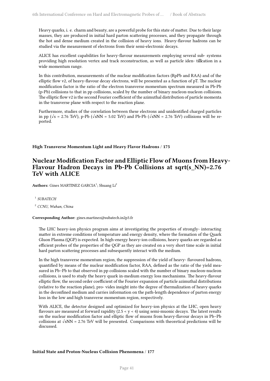Heavy quarks, i. e. charm and beauty, are a powerful probe for this state of matter. Due to their large masses, they are produced in initial hard parton scattering processes, and they propagate through the hot and dense medium created in the collision of heavy ions. Heavy-flavour hadrons can be studied via the measurement of electrons from their semi-electronic decays.

ALICE has excellent capabilities for heavy-flavour measurements employing several sub- systems providing high resolution vertex and track reconstruction, as well as particle iden- ti $\mathbb Z$ cation in a wide momentum range.

In this contribution, measurements of the nuclear modification factors (RpPb and RAA) and of the elliptic flow v2, of heavy-flavour decay electrons, will be presented as a function of pT. The nuclear modification factor is the ratio of the electron transverse momentum spectrum measured in Pb-Pb (p-Pb) collisions to that in pp collisions, scaled by the number of binary nucleon-nucleon collisions. The elliptic flow v2 is the second Fourier coefficient of the azimuthal distribution of particle momenta in the transverse plane with respect to the reaction plane.

Furthermore, studies of the correlation between these electrons and unidentified charged particles in pp ( $\sqrt{s}$  = 2.76 TeV), p-Pb ( $\sqrt{sNN}$  = 5.02 TeV) and Pb-Pb ( $\sqrt{sNN}$  = 2.76 TeV) collisions will be reported.

<span id="page-48-0"></span>**High Transverse Momentum Light and Heavy Flavor Hadrons** / **175**

### **Nuclear Modification Factor and Elliptic Flow of Muons from Heavy-Flavour Hadron Decays in Pb-Pb Collisions at sqrt(s\_NN)=2.76 TeV with ALICE**

Authors: Gines MARTINEZ GARCIA<sup>1</sup>; Shuang Li<sup>2</sup>

1 *SUBATECH*

<sup>2</sup> *CCNU, Wuhan, China*

#### **Corresponding Author:** gines.martinez@subatech.in2p3.fr

The LHC heavy-ion physics program aims at investigating the properties of strongly- interacting matter in extreme conditions of temperature and energy density, where the formation of the Quark Gluon Plasma (QGP) is expected. In high-energy heavy-ion collisions, heavy quarks are regarded as efficient probes of the properties of the QGP as they are created on a very short time scale in initial hard parton scattering processes and subsequently interact with the medium.

In the high transverse momentum region, the suppression of the yield of heavy- flavoured hadrons, quantified by means of the nuclear modification factor, RAA, defined as the ratio of the yield measured in Pb–Pb to that observed in pp collisions scaled with the number of binary nucleon-nucleon collisions, is used to study the heavy quark in-medium energy loss mechanisms. The heavy-flavour elliptic flow, the second order coefficient of the Fourier expansion of particle azimuthal distributions (relative to the reaction plane), pro- vides insight into the degree of thermalization of heavy quarks in the deconfined medium and carries information on the path-length dependence of parton energy loss in the low and high transverse momentum region, respectively.

<span id="page-48-1"></span>With ALICE, the detector designed and optimized for heavy-ion physics at the LHC, open heavy flavours are measured at forward rapidity  $(2.5 < y < 4)$  using semi-muonic decays. The latest results on the nuclear modification factor and elliptic flow of muons from heavy-flavour decays in Pb–Pb collisions at √sNN = 2.76 TeV will be presented. Comparisons with theoretical predictions will be discussed.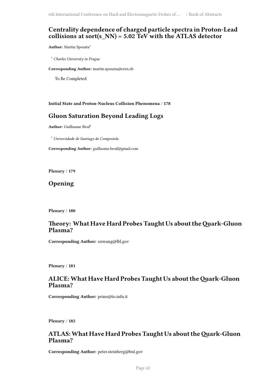### **Centrality dependence of charged particle spectra in Proton-Lead collisions at sort(s\_NN) = 5.02 TeV with the ATLAS detector**

**Author:** Martin Spousta<sup>1</sup>

<sup>1</sup> *Charles University in Prague*

**Corresponding Author:** martin.spousta@cern.ch

To Be Completed

#### <span id="page-49-0"></span>**Initial State and Proton-Nucleus Collision Phenomena** / **178**

### **Gluon Saturation Beyond Leading Logs**

Author: Guillaume Beuf<sup>1</sup>

<sup>1</sup> *Universidade de Santiago de Compostela*

**Corresponding Author:** guillaume.beuf@gmail.com

<span id="page-49-1"></span>**Plenary** / **179**

**Opening**

<span id="page-49-2"></span>**Plenary** / **180**

### **Theory: What Have Hard Probes Taught Us about theQuark-Gluon Plasma?**

**Corresponding Author:** xnwang@lbl.gov

<span id="page-49-3"></span>**Plenary** / **181**

### **ALICE:What Have Hard Probes Taught Us about theQuark-Gluon Plasma?**

**Corresponding Author:** prino@to.infn.it

<span id="page-49-4"></span>**Plenary** / **182**

### **ATLAS:What Have Hard Probes Taught Us about theQuark-Gluon Plasma?**

**Corresponding Author:** peter.steinberg@bnl.gov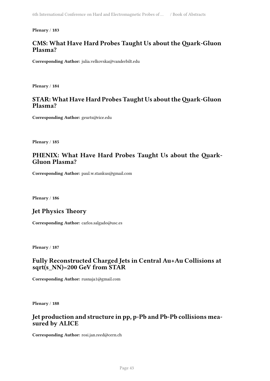#### <span id="page-50-0"></span>**Plenary** / **183**

### **CMS: What Have Hard Probes Taught Us about the Quark-Gluon Plasma?**

**Corresponding Author:** julia.velkovska@vanderbilt.edu

<span id="page-50-1"></span>**Plenary** / **184**

### **STAR: What Have Hard Probes Taught Us about theQuark-Gluon Plasma?**

**Corresponding Author:** geurts@rice.edu

<span id="page-50-2"></span>**Plenary** / **185**

### **PHENIX: What Have Hard Probes Taught Us about the Quark-Gluon Plasma?**

**Corresponding Author:** paul.w.stankus@gmail.com

<span id="page-50-3"></span>**Plenary** / **186**

### **Jet Physics Theory**

**Corresponding Author:** carlos.salgado@usc.es

**Plenary** / **187**

### **Fully Reconstructed Charged Jets in Central Au+Au Collisions at sqrt(s\_NN)=200 GeV from STAR**

**Corresponding Author:** rusnaja1@gmail.com

<span id="page-50-4"></span>**Plenary** / **188**

### **Jet production and structure in pp, p-Pb and Pb-Pb collisions measured by ALICE**

<span id="page-50-5"></span>**Corresponding Author:** rosi.jan.reed@cern.ch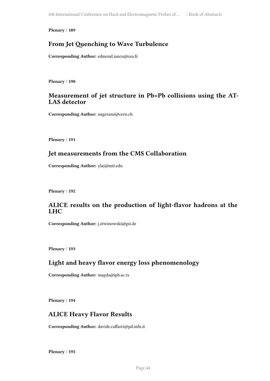**Plenary** / **189**

### **From Jet Quenching to Wave Turbulence**

**Corresponding Author:** edmond.iancu@cea.fr

<span id="page-51-0"></span>**Plenary** / **190**

### **Measurement of jet structure in Pb+Pb collisions using the AT-LAS detector**

**Corresponding Author:** angerami@cern.ch

<span id="page-51-1"></span>**Plenary** / **191**

### **Jet measurements from the CMS Collaboration**

**Corresponding Author:** ylai@mit.edu

<span id="page-51-2"></span>**Plenary** / **192**

### **ALICE results on the production of light-flavor hadrons at the LHC**

**Corresponding Author:** j.otwinowski@gsi.de

<span id="page-51-3"></span>**Plenary** / **193**

### **Light and heavy flavor energy loss phenomenology**

**Corresponding Author:** magda@ipb.ac.rs

<span id="page-51-4"></span>**Plenary** / **194**

### **ALICE Heavy Flavor Results**

**Corresponding Author:** davide.caffarri@pd.infn.it

<span id="page-51-5"></span>**Plenary** / **195**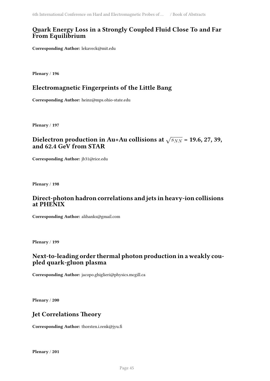### **Quark Energy Loss in a Strongly Coupled Fluid Close To and Far From Equilibrium**

**Corresponding Author:** lekaveck@mit.edu

<span id="page-52-0"></span>**Plenary** / **196**

### **Electromagnetic Fingerprints of the Little Bang**

**Corresponding Author:** heinz@mps.ohio-state.edu

<span id="page-52-1"></span>**Plenary** / **197**

### Dielectron production in Au+Au collisions at  $\sqrt{s_{NN}}$  = 19.6, 27, 39, **and 62.4 GeV from STAR**

**Corresponding Author:** jb31@rice.edu

<span id="page-52-2"></span>**Plenary** / **198**

### **Direct-photon hadron correlations and jets in heavy-ion collisions at PHENIX**

**Corresponding Author:** alihanks@gmail.com

<span id="page-52-3"></span>**Plenary** / **199**

### **Next-to-leading order thermal photon production in a weakly coupled quark-gluon plasma**

**Corresponding Author:** jacopo.ghiglieri@physics.mcgill.ca

<span id="page-52-4"></span>**Plenary** / **200**

### **Jet Correlations Theory**

<span id="page-52-5"></span>**Corresponding Author:** thorsten.i.renk@jyu.fi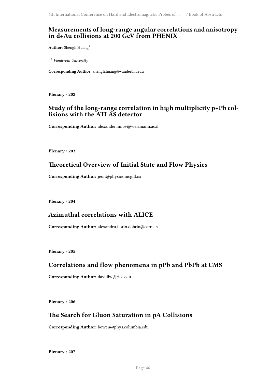### **Measurements of long-range angular correlations and anisotropy in d+Au collisions at 200 GeV from PHENIX**

Author: Shengli Huang<sup>1</sup>

<sup>1</sup> *Vanderbilt University*

**Corresponding Author:** shengli.huang@vanderbilt.edu

<span id="page-53-0"></span>**Plenary** / **202**

### **Study of the long-range correlation in high multiplicity p+Pb collisions with the ATLAS detector**

**Corresponding Author:** alexander.milov@weizmann.ac.il

<span id="page-53-1"></span>**Plenary** / **203**

### **Theoretical Overview of Initial State and Flow Physics**

**Corresponding Author:** jeon@physics.mcgill.ca

<span id="page-53-2"></span>**Plenary** / **204**

### **Azimuthal correlations with ALICE**

**Corresponding Author:** alexandru.florin.dobrin@cern.ch

<span id="page-53-3"></span>**Plenary** / **205**

### **Correlations and flow phenomena in pPb and PbPb at CMS**

**Corresponding Author:** davidlw@rice.edu

<span id="page-53-4"></span>**Plenary** / **206**

### **The Search for Gluon Saturation in pA Collisions**

**Corresponding Author:** bowen@phys.columbia.edu

<span id="page-53-5"></span>**Plenary** / **207**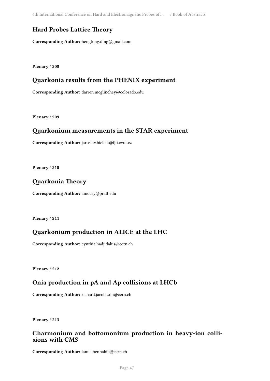6th International Conference on Hard and Electromagnetic Probes of … / Book of Abstracts

### **Hard Probes Lattice Theory**

**Corresponding Author:** hengtong.ding@gmail.com

<span id="page-54-0"></span>**Plenary** / **208**

### **Quarkonia results from the PHENIX experiment**

**Corresponding Author:** darren.mcglinchey@colorado.edu

<span id="page-54-1"></span>**Plenary** / **209**

### **Quarkonium measurements in the STAR experiment**

**Corresponding Author:** jaroslav.bielcik@fjfi.cvut.cz

<span id="page-54-2"></span>**Plenary** / **210**

### **Quarkonia Theory**

**Corresponding Author:** amocsy@pratt.edu

<span id="page-54-3"></span>**Plenary** / **211**

### **Quarkonium production in ALICE at the LHC**

**Corresponding Author:** cynthia.hadjidakis@cern.ch

<span id="page-54-4"></span>**Plenary** / **212**

### **Onia production in pA and Ap collisions at LHCb**

**Corresponding Author:** richard.jacobsson@cern.ch

**Plenary** / **213**

### **Charmonium and bottomonium production in heavy-ion collisions with CMS**

**Corresponding Author:** lamia.benhabib@cern.ch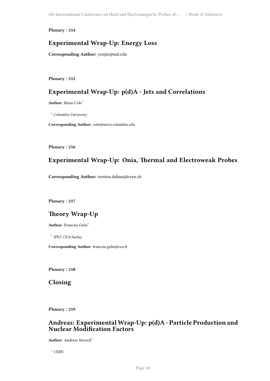**Plenary** / **214**

### **Experimental Wrap-Up: Energy Loss**

**Corresponding Author:** yenjie@mit.edu

<span id="page-55-0"></span>**Plenary** / **215**

### **Experimental Wrap-Up: p(d)A - Jets and Correlations**

**Author:** Brian Cole<sup>1</sup>

<sup>1</sup> *Columbia University*

**Corresponding Author:** cole@nevis.columbia.edu

<span id="page-55-1"></span>**Plenary** / **216**

### **Experimental Wrap-Up: Onia, Thermal and Electroweak Probes**

**Corresponding Author:** torsten.dahms@cern.ch

<span id="page-55-2"></span>**Plenary** / **217**

### **Theory Wrap-Up**

Author: Francois Gelis<sup>1</sup>

1 *IPhT, CEA-Saclay*

**Corresponding Author:** francois.gelis@cea.fr

<span id="page-55-3"></span>**Plenary** / **218**

**Closing**

<span id="page-55-4"></span>**Plenary** / **219**

### **Andreas: ExperimentalWrap-Up: p(d)A - Particle Production and Nuclear Modification Factors**

**Author:** Andreas Morsch<sup>1</sup>

<sup>1</sup> *CERN*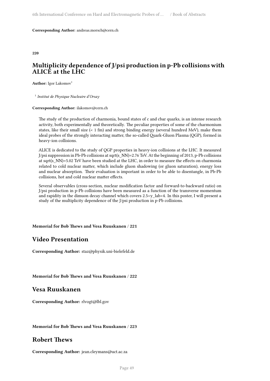#### **Corresponding Author:** andreas.morsch@cern.ch

<span id="page-56-0"></span>**220**

### **Multiplicity dependence of J/psi production in p-Pb collisions with ALICE at the LHC**

**Author:** Igor Lakomov<sup>1</sup>

1 *Institut de Physique Nucleaire d'Orsay*

#### **Corresponding Author:** ilakomov@cern.ch

The study of the production of charmonia, bound states of c and cbar quarks, is an intense research activity, both experimentally and theoretically. The peculiar properties of some of the charmonium states, like their small size (< 1 fm) and strong binding energy (several hundred MeV), make them ideal probes of the strongly interacting matter, the so-called Quark-Gluon Plasma (QGP), formed in heavy-ion collisions.

ALICE is dedicated to the study of QGP properties in heavy-ion collisions at the LHC. It measured J/psi suppression in Pb-Pb collisions at sqrt(s\_NN)=2.76 TeV. At the beginning of 2013, p-Pb collisions at sqrt(s\_NN)=5.02 TeV have been studied at the LHC, in order to measure the effects on charmonia related to cold nuclear matter, which include gluon shadowing (or gluon saturation), energy loss and nuclear absorption. Their evaluation is important in order to be able to disentangle, in Pb-Pb collisions, hot and cold nuclear matter effects.

Several observables (cross-section, nuclear modification factor and forward-to-backward ratio) on J/psi production in p-Pb collisions have been measured as a function of the transverse momentum and rapidity in the dimuon decay channel which covers  $2.5 < y$  lab $< 4$ . In this poster, I will present a study of the multiplicity dependence of the J/psi production in p-Pb collisions.

<span id="page-56-1"></span>**Memorial for Bob Thews and Vesa Ruuskanen** / **221**

### **Video Presentation**

**Corresponding Author:** staz@physik.uni-bielefeld.de

<span id="page-56-2"></span>**Memorial for Bob Thews and Vesa Ruuskanen** / **222**

### **Vesa Ruuskanen**

**Corresponding Author:** rlvogt@lbl.gov

<span id="page-56-3"></span>**Memorial for Bob Thews and Vesa Ruuskanen** / **223**

### **Robert Thews**

**Corresponding Author:** jean.cleymans@uct.ac.za